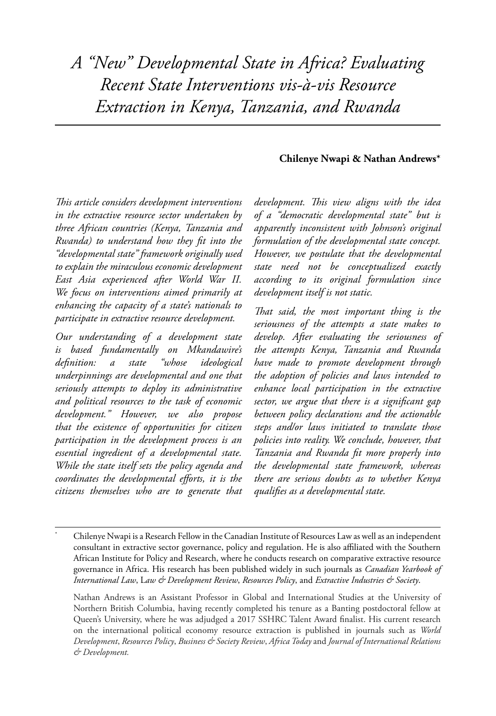*A "New" Developmental State in Africa? Evaluating Recent State Interventions vis-à-vis Resource Extraction in Kenya, Tanzania, and Rwanda*

### **Chilenye Nwapi & Nathan Andrews\***

*This article considers development interventions in the extractive resource sector undertaken by three African countries (Kenya, Tanzania and Rwanda) to understand how they fit into the "developmental state" framework originally used to explain the miraculous economic development East Asia experienced after World War II. We focus on interventions aimed primarily at enhancing the capacity of a state's nationals to participate in extractive resource development.* 

*Our understanding of a development state is based fundamentally on Mkandawire's definition: a state "whose ideological underpinnings are developmental and one that seriously attempts to deploy its administrative and political resources to the task of economic development." However, we also propose that the existence of opportunities for citizen participation in the development process is an essential ingredient of a developmental state. While the state itself sets the policy agenda and coordinates the developmental efforts, it is the citizens themselves who are to generate that* 

*development. This view aligns with the idea of a "democratic developmental state" but is apparently inconsistent with Johnson's original formulation of the developmental state concept. However, we postulate that the developmental state need not be conceptualized exactly according to its original formulation since development itself is not static.* 

*That said, the most important thing is the seriousness of the attempts a state makes to develop. After evaluating the seriousness of the attempts Kenya, Tanzania and Rwanda have made to promote development through the adoption of policies and laws intended to enhance local participation in the extractive sector, we argue that there is a significant gap between policy declarations and the actionable steps and/or laws initiated to translate those policies into reality. We conclude, however, that Tanzania and Rwanda fit more properly into the developmental state framework, whereas there are serious doubts as to whether Kenya qualifies as a developmental state.* 

Nathan Andrews is an Assistant Professor in Global and International Studies at the University of Northern British Columbia, having recently completed his tenure as a Banting postdoctoral fellow at Queen's University, where he was adjudged a 2017 SSHRC Talent Award finalist. His current research on the international political economy resource extraction is published in journals such as *World Development*, *Resources Policy*, *Business & Society Review*, *Africa Today* and *Journal of International Relations & Development.*

<sup>\*</sup> Chilenye Nwapi is a Research Fellow in the Canadian Institute of Resources Law as well as an independent consultant in extractive sector governance, policy and regulation. He is also affiliated with the Southern African Institute for Policy and Research, where he conducts research on comparative extractive resource governance in Africa. His research has been published widely in such journals as *Canadian Yearbook of International Law*, L*aw & Development Review*, *Resources Policy*, and *Extractive Industries & Society*.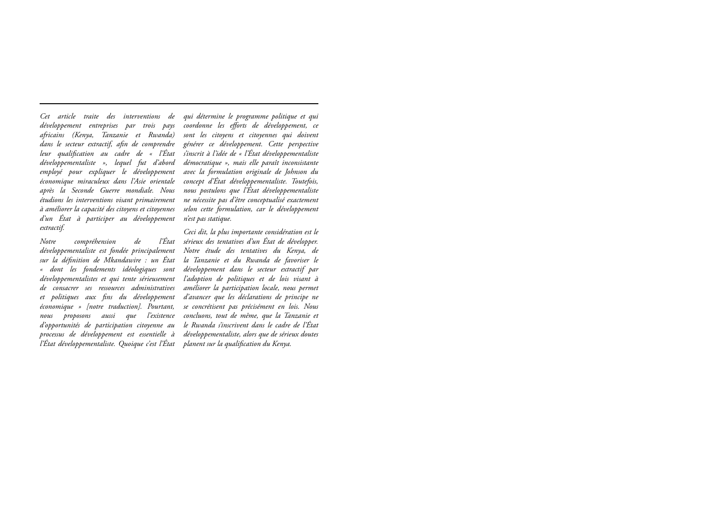*développement entreprises par trois pays africains (Kenya, Tanzanie et Rwanda) dans le secteur extractif, afin de comprendre leur qualification au cadre de « l'État développementaliste », lequel fut d'abord employé pour expliquer le développement économique miraculeux dans l'Asie orientale après la Seconde Guerre mondiale. Nous étudions les interventions visant primairement à améliorer la capacité des citoyens et citoyennes d'un État à participer au développement extractif.* 

*Notre compréhension de l'État développementaliste est fondée principalement sur la définition de Mkandawire : un État « dont les fondements idéologiques sont développementalistes et qui tente sérieusement de consacrer ses ressources administratives et politiques aux fins du développement économique » [notre traduction]. Pourtant, nous proposons aussi que l'existence d'opportunités de participation citoyenne au processus de développement est essentielle à l'État développementaliste. Quoique c'est l'État* 

*Cet article traite des interventions de qui détermine le programme politique et qui coordonne les efforts de développement, ce sont les citoyens et citoyennes qui doivent générer ce développement. Cette perspective s'inscrit à l'idée de « l'État développementaliste démocratique », mais elle paraît inconsistante avec la formulation originale de Johnson du concept d'État développementaliste. Toutefois, nous postulons que l'État développementaliste ne nécessite pas d'être conceptualisé exactement selon cette formulation, car le développement n'est pas statique.* 

> *Ceci dit, la plus importante considération est le sérieux des tentatives d'un État de développer. Notre étude des tentatives du Kenya, de la Tanzanie et du Rwanda de favoriser le développement dans le secteur extractif par l'adoption de politiques et de lois visant à améliorer la participation locale, nous permet d'avancer que les déclarations de principe ne se concrétisent pas précisément en lois. Nous concluons, tout de même, que la Tanzanie et le Rwanda s'inscrivent dans le cadre de l'État développementaliste, alors que de sérieux doutes planent sur la qualification du Kenya.*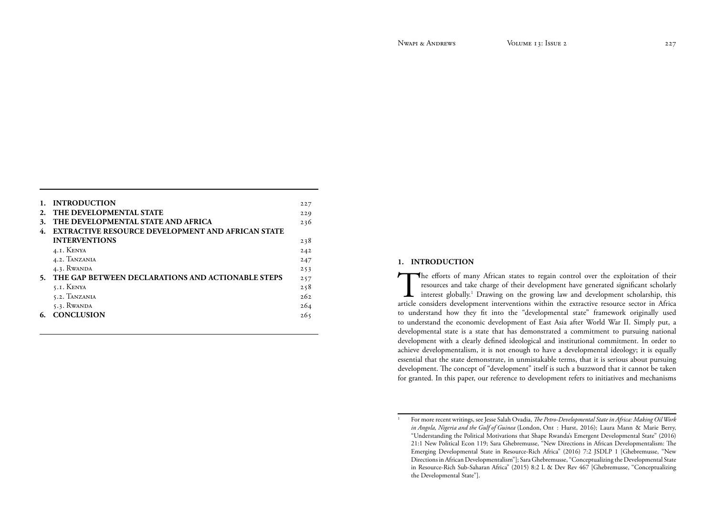|    | <b>INTRODUCTION</b>                                      | 227 |
|----|----------------------------------------------------------|-----|
| 2. | THE DEVELOPMENTAL STATE                                  | 229 |
| 3. | THE DEVELOPMENTAL STATE AND AFRICA                       | 236 |
| 4. | <b>EXTRACTIVE RESOURCE DEVELOPMENT AND AFRICAN STATE</b> |     |
|    | <b>INTERVENTIONS</b>                                     | 238 |
|    | 4.I. KENYA                                               | 242 |
|    | 4.2. TANZANIA                                            | 247 |
|    | 4.3. RWANDA                                              | 253 |
| 5. | THE GAP BETWEEN DECLARATIONS AND ACTIONABLE STEPS        | 257 |
|    | 5.1. KENYA                                               | 258 |
|    | 5.2. TANZANIA                                            | 262 |
|    | $5.3.$ RWANDA                                            | 264 |
|    | <b>CONCLUSION</b>                                        | 265 |
|    |                                                          |     |

# **1. INTRODUCTION**

The efforts of many African states to regain control over the exploitation of their resources and take charge of their development have generated significant scholarly interest globally.<sup>1</sup> Drawing on the growing law and d resources and take charge of their development have generated significant scholarly interest globally.<sup>1</sup> Drawing on the growing law and development scholarship, this article considers development interventions within the extractive resource sector in Africa to understand how they fit into the "developmental state" framework originally used to understand the economic development of East Asia after World War II. Simply put, a developmental state is a state that has demonstrated a commitment to pursuing national development with a clearly defined ideological and institutional commitment. In order to achieve developmentalism, it is not enough to have a developmental ideology; it is equally essential that the state demonstrate, in unmistakable terms, that it is serious about pursuing development. The concept of "development" itself is such a buzzword that it cannot be taken for granted. In this paper, our reference to development refers to initiatives and mechanisms

<sup>1</sup> For more recent writings, see Jesse Salah Ovadia, *The Petro-Developmental State in Africa: Making Oil Work in Angola, Nigeria and the Gulf of Guinea* (London, Ont : Hurst, 2016); Laura Mann & Marie Berry, "Understanding the Political Motivations that Shape Rwanda's Emergent Developmental State" (2016) 21:1 New Political Econ 119; Sara Ghebremusse, "New Directions in African Developmentalism: The Emerging Developmental State in Resource-Rich Africa" (2016) 7:2 JSDLP 1 [Ghebremusse, "New Directions in African Developmentalism"]; Sara Ghebremusse, "Conceptualizing the Developmental State in Resource-Rich Sub-Saharan Africa" (2015) 8:2 L & Dev Rev 467 [Ghebremusse, "Conceptualizing the Developmental State"].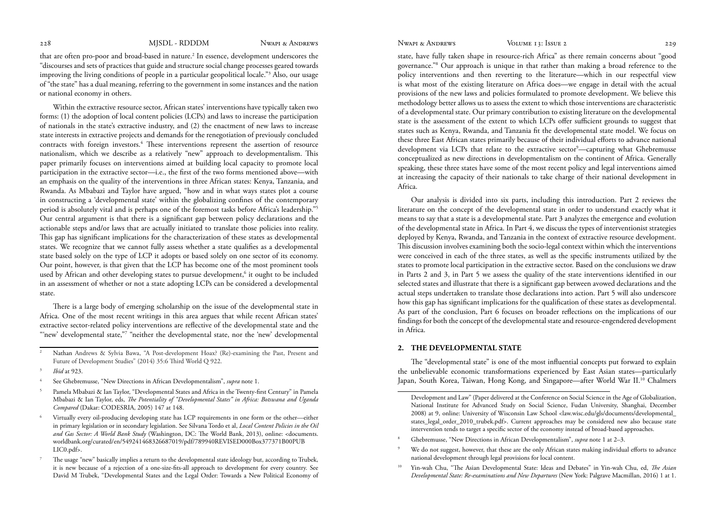<span id="page-3-0"></span>

that are often pro-poor and broad-based in nature.<sup>2</sup> In essence, development underscores the "discourses and sets of practices that guide and structure social change processes geared towards improving the living conditions of people in a particular geopolitical locale."3 Also, our usage of "the state" has a dual meaning, referring to the government in some instances and the nation or national economy in others.

Within the extractive resource sector, African states' interventions have typically taken two forms: (1) the adoption of local content policies (LCPs) and laws to increase the participation of nationals in the state's extractive industry, and (2) the enactment of new laws to increase state interests in extractive projects and demands for the renegotiation of previously concluded contracts with foreign investors.<sup>4</sup> These interventions represent the assertion of resource nationalism, which we describe as a relatively "new" approach to developmentalism. This paper primarily focuses on interventions aimed at building local capacity to promote local participation in the extractive sector—i.e., the first of the two forms mentioned above—with an emphasis on the quality of the interventions in three African states: Kenya, Tanzania, and Rwanda. As Mbabazi and Taylor have argued, "how and in what ways states plot a course in constructing a 'developmental state' within the globalizing confines of the contemporary period is absolutely vital and is perhaps one of the foremost tasks before Africa's leadership."5 Our central argument is that there is a significant gap between policy declarations and the actionable steps and/or laws that are actually initiated to translate those policies into reality. This gap has significant implications for the characterization of these states as developmental states. We recognize that we cannot fully assess whether a state qualifies as a developmental state based solely on the type of LCP it adopts or based solely on one sector of its economy. Our point, however, is that given that the LCP has become one of the most prominent tools used by African and other developing states to pursue development,<sup>6</sup> it ought to be included in an assessment of whether or not a state adopting LCPs can be considered a developmental state.

There is a large body of emerging scholarship on the issue of the developmental state in Africa. One of the most recent writings in this area argues that while recent African states' extractive sector-related policy interventions are reflective of the developmental state and the "'new' developmental state,"7 "neither the developmental state, nor the 'new' developmental

- 2 Nathan Andrews & Sylvia Bawa, "A Post-development Hoax? (Re)-examining the Past, Present and Future of Development Studies" (2014) 35:6 Third World Q 922.
- <sup>3</sup>*Ibid* at 923.
- 4 See Ghebremusse, "New Directions in African Developmentalism", *supra* note 1.
- Pamela Mbabazi & Ian Taylor, "Developmental States and Africa in the Twenty-first Century" in Pamela Mbabazi & Ian Taylor, eds, *The Potentiality of "Developmental States" in Africa: Botswana and Uganda Compared* (Dakar: CODESRIA, 2005) 147 at 148.
- Virtually every oil-producing developing state has LCP requirements in one form or the other—either in primary legislation or in secondary legislation. See Silvana Tordo et al, *Local Content Policies in the Oil and Gas Sector: A World Bank Study* (Washington, DC: The World Bank, 2013), online: <documents. worldbank.org/curated/en/549241468326687019/pdf/789940REVISED000Box377371B00PUB LIC0.pdf>.
- 7 The usage "new" basically implies a return to the developmental state ideology but, according to Trubek, it is new because of a rejection of a one-size-fits-all approach to development for every country. See David M Trubek, "Developmental States and the Legal Order: Towards a New Political Economy of

state, have fully taken shape in resource-rich Africa" as there remain concerns about "good governance."8 Our approach is unique in that rather than making a broad reference to the policy interventions and then reverting to the literature—which in our respectful view is what most of the existing literature on Africa does—we engage in detail with the actual provisions of the new laws and policies formulated to promote development. We believe this methodology better allows us to assess the extent to which those interventions are characteristic of a developmental state. Our primary contribution to existing literature on the developmental state is the assessment of the extent to which LCPs offer sufficient grounds to suggest that states such as Kenya, Rwanda, and Tanzania fit the developmental state model. We focus on these three East African states primarily because of their individual efforts to advance national development via LCPs that relate to the extractive sector<sup>9</sup>—capturing what Ghebremusse conceptualized as new directions in developmentalism on the continent of Africa. Generally speaking, these three states have some of the most recent policy and legal interventions aimed at increasing the capacity of their nationals to take charge of their national development in Africa.

Our analysis is divided into six parts, including this introduction. Part 2 reviews the literature on the concept of the developmental state in order to understand exactly what it means to say that a state is a developmental state. Part 3 analyzes the emergence and evolution of the developmental state in Africa. In Part 4, we discuss the types of interventionist strategies deployed by Kenya, Rwanda, and Tanzania in the context of extractive resource development. This discussion involves examining both the socio-legal context within which the interventions were conceived in each of the three states, as well as the specific instruments utilized by the states to promote local participation in the extractive sector. Based on the conclusions we draw in Parts 2 and 3, in Part 5 we assess the quality of the state interventions identified in our selected states and illustrate that there is a significant gap between avowed declarations and the actual steps undertaken to translate those declarations into action. Part 5 will also underscore how this gap has significant implications for the qualification of these states as developmental. As part of the conclusion, Part 6 focuses on broader reflections on the implications of our findings for both the concept of the developmental state and resource-engendered development in Africa.

### **2. THE DEVELOPMENTAL STATE**

The "developmental state" is one of the most influential concepts put forward to explain the unbelievable economic transformations experienced by East Asian states—particularly Japan, South Korea, Taiwan, Hong Kong, and Singapore—after World War II.10 Chalmers

10 Yin-wah Chu, "The Asian Developmental State: Ideas and Debates" in Yin-wah Chu, ed, *The Asian Developmental State: Re-examinations and New Departures* (New York: Palgrave Macmillan, 2016) 1 at 1.

Development and Law" (Paper delivered at the Conference on Social Science in the Age of Globalization, National Institute for Advanced Study on Social Science, Fudan University, Shanghai, December 2008) at 9, online: University of Wisconsin Law School <law.wisc.edu/gls/documents/developmental\_ states\_legal\_order\_2010\_trubek.pdf>. Current approaches may be considered new also because state intervention tends to target a specific sector of the economy instead of broad-based approaches.

<sup>8</sup> Ghebremusse, "New Directions in African Developmentalism", *supra* note 1 at 2–3.

We do not suggest, however, that these are the only African states making individual efforts to advance national development through legal provisions for local content.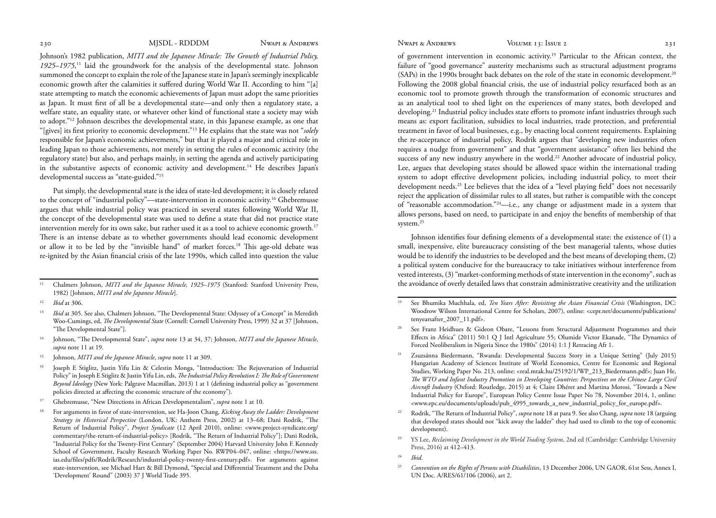Johnson's 1982 publication, *MITI and the Japanese Miracle: The Growth of Industrial Policy,*  1925–1975,<sup>11</sup> laid the groundwork for the analysis of the developmental state. Johnson summoned the concept to explain the role of the Japanese state in Japan's seemingly inexplicable economic growth after the calamities it suffered during World War II. According to him "[a] state attempting to match the economic achievements of Japan must adopt the same priorities as Japan. It must first of all be a developmental state—and only then a regulatory state, a welfare state, an equality state, or whatever other kind of functional state a society may wish to adopt."12 Johnson describes the developmental state, in this Japanese example, as one that "[gives] its first priority to economic development."13 He explains that the state was not "*solely* responsible for Japan's economic achievements," but that it played a major and critical role in leading Japan to those achievements, not merely in setting the rules of economic activity (the regulatory state) but also, and perhaps mainly, in setting the agenda and actively participating in the substantive aspects of economic activity and development.<sup>14</sup> He describes Japan's developmental success as "state-guided."15

Put simply, the developmental state is the idea of state-led development; it is closely related to the concept of "industrial policy"—state-intervention in economic activity.<sup>16</sup> Ghebremusse argues that while industrial policy was practiced in several states following World War II, the concept of the developmental state was used to define a state that did not practice state intervention merely for its own sake, but rather used it as a tool to achieve economic growth.17 There is an intense debate as to whether governments should lead economic development or allow it to be led by the "invisible hand" of market forces.18 This age-old debate was re-ignited by the Asian financial crisis of the late 1990s, which called into question the value

- 11 Chalmers Johnson, *MITI and the Japanese Miracle, 1925–1975* (Stanford: Stanford University Press, 1982) [Johnson, *MITI and the Japanese Miracle*].
- <sup>12</sup>*Ibid* at 306.
- <sup>13</sup>*Ibid* at 305. See also, Chalmers Johnson, "The Developmental State: Odyssey of a Concept" in Meredith Woo-Cumings, ed, *The Developmental State* (Cornell: Cornell University Press, 1999) 32 at 37 [Johnson, "The Developmental State"].
- 14 Johnson, "The Developmental State", *supra* note 13 at 34, 37; Johnson, *MITI and the Japanese Miracle*, *supra* note 11 at 19.
- 15 Johnson, *MITI and the Japanese Miracle*, *supra* note 11 at 309.
- 16 Joseph E Stiglitz, Justin Yifu Lin & Celestin Monga, "Introduction: The Rejuvenation of Industrial Policy" in Joseph E Stiglitz & Justin Yifu Lin, eds, *The Industrial Policy Revolution I: The Role of Government Beyond Ideology* (New York: Palgrave Macmillan, 2013) 1 at 1 (defining industrial policy as "government policies directed at affecting the economic structure of the economy").
- 17 Ghebremusse, "New Directions in African Developmentalism", *supra* note 1 at 10.
- 18 For arguments in favor of state-intervention, see Ha-Joon Chang, *Kicking Away the Ladder: Development Strategy in Historical Perspective* (London, UK: Anthem Press, 2002) at 13–68; Dani Rodrik, "The Return of Industrial Policy", *Project Syndicate* (12 April 2010), online: <www.project-syndicate.org/ commentary/the-return-of-industrial-policy> [Rodrik, "The Return of Industrial Policy"]; Dani Rodrik, "Industrial Policy for the Twenty-First Century" (September 2004) Harvard University John F. Kennedy School of Government, Faculty Research Working Paper No. RWP04–047, online: <https://www.sss. ias.edu/files/pdfs/Rodrik/Research/industrial-policy-twenty-first-century.pdf>. For arguments against state-intervention, see Michael Hart & Bill Dymond, "Special and Differential Treatment and the Doha 'Development' Round" (2003) 37 J World Trade 395.

of government intervention in economic activity.19 Particular to the African context, the failure of "good governance" austerity mechanisms such as structural adjustment programs (SAPs) in the 1990s brought back debates on the role of the state in economic development.<sup>20</sup> Following the 2008 global financial crisis, the use of industrial policy resurfaced both as an economic tool to promote growth through the transformation of economic structures and as an analytical tool to shed light on the experiences of many states, both developed and developing.<sup>21</sup> Industrial policy includes state efforts to promote infant industries through such means as: export facilitation, subsidies to local industries, trade protection, and preferential treatment in favor of local businesses, e.g., by enacting local content requirements. Explaining the re-acceptance of industrial policy, Rodrik argues that "developing new industries often requires a nudge from government" and that "government assistance" often lies behind the success of any new industry anywhere in the world.22 Another advocate of industrial policy, Lee, argues that developing states should be allowed space within the international trading system to adopt effective development policies, including industrial policy, to meet their development needs.<sup>23</sup> Lee believes that the idea of a "level playing field" does not necessarily reject the application of dissimilar rules to all states, but rather is compatible with the concept of "reasonable accommodation."24—i.e., any change or adjustment made in a system that allows persons, based on need, to participate in and enjoy the benefits of membership of that system.<sup>25</sup>

Johnson identifies four defining elements of a developmental state: the existence of (1) a small, inexpensive, elite bureaucracy consisting of the best managerial talents, whose duties would be to identify the industries to be developed and the best means of developing them, (2) a political system conducive for the bureaucracy to take initiatives without interference from vested interests, (3) "market-conforming methods of state intervention in the economy", such as the avoidance of overly detailed laws that constrain administrative creativity and the utilization

- 19 See Bhumika Muchhala, ed, *Ten Years After: Revisiting the Asian Financial Crisis* (Washington, DC: Woodrow Wilson International Centre for Scholars, 2007), online: <cepr.net/documents/publications/ tenyearsafter\_2007\_11.pdf>.
- <sup>20</sup> See Franz Heidhues & Gideon Obare, "Lessons from Structural Adjustment Programmes and their Effects in Africa" (2011) 50:1 Q J Intl Agriculture 55; Olumide Victor Ekanade, "The Dynamics of Forced Neoliberalism in Nigeria Since the 1980s" (2014) 1:1 J Retracing Afr 1.
- Zsuzsánna Biedermann, "Rwanda: Developmental Success Story in a Unique Setting" (July 2015) Hungarian Academy of Sciences Institute of World Economics, Centre for Economic and Regional Studies, Working Paper No. 213, online: <real.mtak.hu/25192/1/WP\_213\_Biedermann.pdf>; Juan He, *The WTO and Infant Industry Promotion in Developing Countries: Perspectives on the Chinese Large Civil Aircraft Industry* (Oxford: Routledge, 2015) at 4; Claire Dhéret and Martina Morosi, "Towards a New Industrial Policy for Europe", European Policy Centre Issue Paper No 78, November 2014, 1, online: <www.epc.eu/documents/uploads/pub\_4995\_towards\_a\_new\_industrial\_policy\_for\_europe.pdf>.
- 22 Rodrik, "The Return of Industrial Policy", *supra* note 18 at para 9. See also Chang, *supra* note 18 (arguing that developed states should not "kick away the ladder" they had used to climb to the top of economic development).
- 23 YS Lee, *Reclaiming Development in the World Trading System*, 2nd ed (Cambridge: Cambridge University Press, 2016) at 412–413.
- <sup>24</sup>*Ibid*.
- <sup>25</sup>*Convention on the Rights of Persons with Disabilities*, 13 December 2006, UN GAOR, 61st Sess, Annex I, UN Doc. A/RES/61/106 (2006), art 2.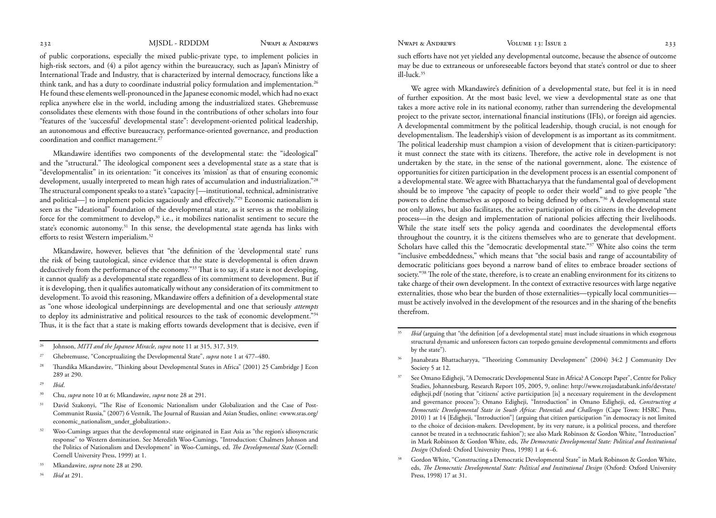of public corporations, especially the mixed public-private type, to implement policies in high-risk sectors, and (4) a pilot agency within the bureaucracy, such as Japan's Ministry of International Trade and Industry, that is characterized by internal democracy, functions like a think tank, and has a duty to coordinate industrial policy formulation and implementation.<sup>26</sup> He found these elements well-pronounced in the Japanese economic model, which had no exact replica anywhere else in the world, including among the industrialized states. Ghebremusse consolidates these elements with those found in the contributions of other scholars into four "features of the 'successful' developmental state": development-oriented political leadership, an autonomous and effective bureaucracy, performance-oriented governance, and production coordination and conflict management.<sup>27</sup>

Mkandawire identifies two components of the developmental state: the "ideological" and the "structural." The ideological component sees a developmental state as a state that is "developmentalist" in its orientation: "it conceives its 'mission' as that of ensuring economic development, usually interpreted to mean high rates of accumulation and industrialization."<sup>28</sup> The structural component speaks to a state's "capacity [—institutional, technical, administrative and political—] to implement policies sagaciously and effectively."29 Economic nationalism is seen as the "ideational" foundation of the developmental state, as it serves as the mobilizing force for the commitment to develop,<sup>30</sup> i.e., it mobilizes nationalist sentiment to secure the state's economic autonomy.<sup>31</sup> In this sense, the developmental state agenda has links with efforts to resist Western imperialism.32

Mkandawire, however, believes that "the definition of the 'developmental state' runs the risk of being tautological, since evidence that the state is developmental is often drawn deductively from the performance of the economy."33 That is to say, if a state is not developing, it cannot qualify as a developmental state regardless of its commitment to development. But if it is developing, then it qualifies automatically without any consideration of its commitment to development. To avoid this reasoning, Mkandawire offers a definition of a developmental state as "one whose ideological underpinnings are developmental and one that seriously *attempts* to deploy its administrative and political resources to the task of economic development."34 Thus, it is the fact that a state is making efforts towards development that is decisive, even if

- <sup>29</sup>*Ibid*.
- 30 Chu, *supra* note 10 at 6; Mkandawire, *supra* note 28 at 291.
- <sup>31</sup> David Szakonyi, "The Rise of Economic Nationalism under Globalization and the Case of Post-Communist Russia," (2007) 6 Vestnik, The Journal of Russian and Asian Studies, online: <www.sras.org/ economic\_nationalism\_under\_globalization>.
- <sup>32</sup> Woo-Cumings argues that the developmental state originated in East Asia as "the region's idiosyncratic response" to Western domination. See Meredith Woo-Cumings, "Introduction: Chalmers Johnson and the Politics of Nationalism and Development" in Woo-Cumings, ed, *The Developmental State* (Cornell: Cornell University Press, 1999) at 1.
- 33 Mkandawire, *supra* note 28 at 290.
- <sup>34</sup>*Ibid* at 291.

such efforts have not yet yielded any developmental outcome, because the absence of outcome may be due to extraneous or unforeseeable factors beyond that state's control or due to sheer ill-luck.35

We agree with Mkandawire's definition of a developmental state, but feel it is in need of further exposition. At the most basic level, we view a developmental state as one that takes a more active role in its national economy, rather than surrendering the developmental project to the private sector, international financial institutions (IFIs), or foreign aid agencies. A developmental commitment by the political leadership, though crucial, is not enough for developmentalism. The leadership's vision of development is as important as its commitment. The political leadership must champion a vision of development that is citizen-participatory: it must connect the state with its citizens. Therefore, the active role in development is not undertaken by the state, in the sense of the national government, alone. The existence of opportunities for citizen participation in the development process is an essential component of a developmental state. We agree with Bhattacharyya that the fundamental goal of development should be to improve "the capacity of people to order their world" and to give people "the powers to define themselves as opposed to being defined by others."36 A developmental state not only allows, but also facilitates, the active participation of its citizens in the development process—in the design and implementation of national policies affecting their livelihoods. While the state itself sets the policy agenda and coordinates the developmental efforts throughout the country, it is the citizens themselves who are to generate that development. Scholars have called this the "democratic developmental state."<sup>37</sup> White also coins the term "inclusive embeddedness," which means that "the social basis and range of accountability of democratic politicians goes beyond a narrow band of elites to embrace broader sections of society."38 The role of the state, therefore, is to create an enabling environment for its citizens to take charge of their own development. In the context of extractive resources with large negative externalities, those who bear the burden of those externalities—typically local communities must be actively involved in the development of the resources and in the sharing of the benefits therefrom.

Gordon White, "Constructing a Democratic Developmental State" in Mark Robinson & Gordon White, eds, *The Democratic Developmental State: Political and Institutional Design* (Oxford: Oxford University Press, 1998) 17 at 31.

<sup>26</sup> Johnson, *MITI and the Japanese Miracle*, *supra* note 11 at 315, 317, 319.

<sup>27</sup> Ghebremusse, "Conceptualizing the Developmental State", *supra* note 1 at 477–480.

<sup>&</sup>lt;sup>28</sup> Thandika Mkandawire, "Thinking about Developmental States in Africa" (2001) 25 Cambridge J Econ 289 at 290.

*Ibid* (arguing that "the definition [of a developmental state] must include situations in which exogenous structural dynamic and unforeseen factors can torpedo genuine developmental commitments and efforts by the state").

<sup>&</sup>lt;sup>36</sup> Jnanabrata Bhattacharyya, "Theorizing Community Development" (2004) 34:2 J Community Dev Society 5 at 12.

<sup>&</sup>lt;sup>37</sup> See Omano Edigheji, "A Democratic Developmental State in Africa? A Concept Paper", Centre for Policy Studies, Johannesburg, Research Report 105, 2005, 9, online: http://www.rrojasdatabank.info/devstate/ edigheji.pdf (noting that "citizens' active participation [is] a necessary requirement in the development and governance process"); Omano Edigheji, "Introduction" in Omano Edigheji, ed, *Constructing a Democratic Developmental State in South Africa: Potentials and Challenges* (Cape Town: HSRC Press, 2010) 1 at 14 [Edigheji, "Introduction"] (arguing that citizen participation "in democracy is not limited to the choice of decision-makers. Development, by its very nature, is a political process, and therefore cannot be treated in a technocratic fashion"); see also Mark Robinson & Gordon White, "Introduction" in Mark Robinson & Gordon White, eds, *The Democratic Developmental State: Political and Institutional Design* (Oxford: Oxford University Press, 1998) 1 at 4–6.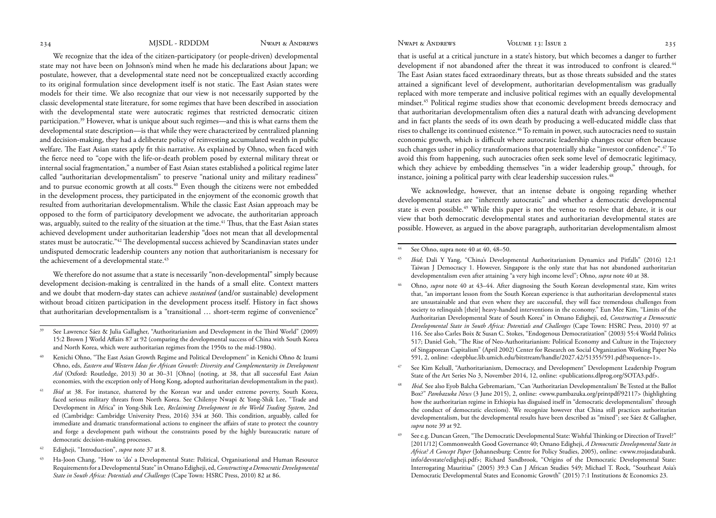We recognize that the idea of the citizen-participatory (or people-driven) developmental state may not have been on Johnson's mind when he made his declarations about Japan; we postulate, however, that a developmental state need not be conceptualized exactly according to its original formulation since development itself is not static. The East Asian states were models for their time. We also recognize that our view is not necessarily supported by the classic developmental state literature, for some regimes that have been described in association with the developmental state were autocratic regimes that restricted democratic citizen participation.39 However, what is unique about such regimes—and this is what earns them the developmental state description—is that while they were characterized by centralized planning and decision-making, they had a deliberate policy of reinvesting accumulated wealth in public welfare. The East Asian states aptly fit this narrative. As explained by Ohno, when faced with the fierce need to "cope with the life-or-death problem posed by external military threat or internal social fragmentation," a number of East Asian states established a political regime later called "authoritarian developmentalism" to preserve "national unity and military readiness" and to pursue economic growth at all costs.<sup>40</sup> Even though the citizens were not embedded in the development process, they participated in the enjoyment of the economic growth that resulted from authoritarian developmentalism. While the classic East Asian approach may be opposed to the form of participatory development we advocate, the authoritarian approach was, arguably, suited to the reality of the situation at the time.<sup>41</sup> Thus, that the East Asian states achieved development under authoritarian leadership "does not mean that all developmental states must be autocratic."42 The developmental success achieved by Scandinavian states under undisputed democratic leadership counters any notion that authoritarianism is necessary for the achievement of a developmental state.<sup>43</sup>

We therefore do not assume that a state is necessarily "non-developmental" simply because development decision-making is centralized in the hands of a small elite. Context matters and we doubt that modern-day states can achieve *sustained* (and/or sustainable) development without broad citizen participation in the development process itself. History in fact shows that authoritarian developmentalism is a "transitional … short-term regime of convenience"

- 39 See Lawrence Sáez & Julia Gallagher, "Authoritarianism and Development in the Third World" (2009) 15:2 Brown J World Affairs 87 at 92 (comparing the developmental success of China with South Korea and North Korea, which were authoritarian regimes from the 1950s to the mid-1980s).
- 40 Kenichi Ohno, "The East Asian Growth Regime and Political Development" in Kenichi Ohno & Izumi Ohno, eds, *Eastern and Western Ideas for African Growth: Diversity and Complementarity in Development Aid* (Oxford: Routledge, 2013) 30 at 30–31 [Ohno] (noting, at 38, that all successful East Asian economies, with the exception only of Hong Kong, adopted authoritarian developmentalism in the past).
- <sup>41</sup>*Ibid* at 38. For instance, shattered by the Korean war and under extreme poverty, South Korea, faced serious military threats from North Korea. See Chilenye Nwapi & Yong-Shik Lee, "Trade and Development in Africa" in Yong-Shik Lee, *Reclaiming Development in the World Trading System*, 2nd ed (Cambridge: Cambridge University Press, 2016) 334 at 360. This condition, arguably, called for immediate and dramatic transformational actions to engineer the affairs of state to protect the country and forge a development path without the constraints posed by the highly bureaucratic nature of democratic decision-making processes.
- 42 Edigheji, "Introduction", *supra* note 37 at 8.
- 43 Ha-Joon Chang, "How to 'do' a Developmental State: Political, Organisational and Human Resource Requirements for a Developmental State" in Omano Edigheji, ed, *Constructing a Democratic Developmental State in South Africa: Potentials and Challenges* (Cape Town: HSRC Press, 2010) 82 at 86.

that is useful at a critical juncture in a state's history, but which becomes a danger to further development if not abandoned after the threat it was introduced to confront is cleared.<sup>44</sup> The East Asian states faced extraordinary threats, but as those threats subsided and the states attained a significant level of development, authoritarian developmentalism was gradually replaced with more temperate and inclusive political regimes with an equally developmental mindset.45 Political regime studies show that economic development breeds democracy and that authoritarian developmentalism often dies a natural death with advancing development and in fact plants the seeds of its own death by producing a well-educated middle class that rises to challenge its continued existence.<sup>46</sup> To remain in power, such autocracies need to sustain economic growth, which is difficult where autocratic leadership changes occur often because such changes usher in policy transformations that potentially shake "investor confidence".47 To avoid this from happening, such autocracies often seek some level of democratic legitimacy, which they achieve by embedding themselves "in a wider leadership group," through, for instance, joining a political party with clear leadership succession rules.<sup>48</sup>

We acknowledge, however, that an intense debate is ongoing regarding whether developmental states are "inherently autocratic" and whether a democratic developmental state is even possible.<sup>49</sup> While this paper is not the venue to resolve that debate, it is our view that both democratic developmental states and authoritarian developmental states are possible. However, as argued in the above paragraph, authoritarian developmentalism almost

See Ohno, supra note 40 at 40, 48–50.

- <sup>45</sup>*Ibid*; Dali Y Yang, "China's Developmental Authoritarianism Dynamics and Pitfalls" (2016) 12:1 Taiwan J Democracy 1. However, Singapore is the only state that has not abandoned authoritarian developmentalism even after attaining "a very high income level"; Ohno, *supra* note 40 at 38.
- 46 Ohno, *supra* note 40 at 43–44. After diagnosing the South Korean developmental state, Kim writes that, "an important lesson from the South Korean experience is that authoritarian developmental states are unsustainable and that even where they are successful, they will face tremendous challenges from society to relinquish [their] heavy-handed interventions in the economy." Eun Mee Kim, "Limits of the Authoritarian Developmental State of South Korea" in Omano Edigheji, ed, *Constructing a Democratic Developmental State in South Africa: Potentials and Challenges* (Cape Town: HSRC Press, 2010) 97 at 116. See also Carles Boix & Susan C. Stokes, "Endogenous Democratization" (2003) 55:4 World Politics 517; Daniel Goh, "The Rise of Neo-Authoritarianism: Political Economy and Culture in the Trajectory of Singaporean Capitalism" (April 2002) Center for Research on Social Organization Working Paper No 591, 2, online: <deepblue.lib.umich.edu/bitstream/handle/2027.42/51355/591.pdf?sequence=1>.
- <sup>47</sup> See Kim Kelsall, "Authoritarianism, Democracy, and Development" Development Leadership Program State of the Art Series No 3, November 2014, 12, online: <publications.dlprog.org/SOTA3.pdf>.
- <sup>48</sup>*Ibid*. See also Eyob Balcha Gebremariam, "Can 'Authoritarian Developmentalism' Be Tested at the Ballot Box?" *Pambazuka News* (3 June 2015), 2, online: <www.pambazuka.org/printpdf/92117> (highlighting how the authoritarian regime in Ethiopia has disguised itself in "democratic developmentalism" through the conduct of democratic elections). We recognize however that China still practices authoritarian developmentalism, but the developmental results have been described as "mixed"; see Sáez & Gallagher, *supra* note 39 at 92.
- 49 See e.g. Duncan Green, "The Democratic Developmental State: Wishful Thinking or Direction of Travel?" [2011/12] Commonwealth Good Governance 40; Omano Edigheji, *A Democratic Developmental State in Africa? A Concept Paper* (Johannesburg: Centre for Policy Studies, 2005), online: <www.rrojasdatabank. info/devstate/edigheji.pdf>; Richard Sandbrook, "Origins of the Democratic Developmental State: Interrogating Mauritius" (2005) 39:3 Can J African Studies 549; Michael T. Rock, "Southeast Asia's Democratic Developmental States and Economic Growth" (2015) 7:1 Institutions & Economics 23.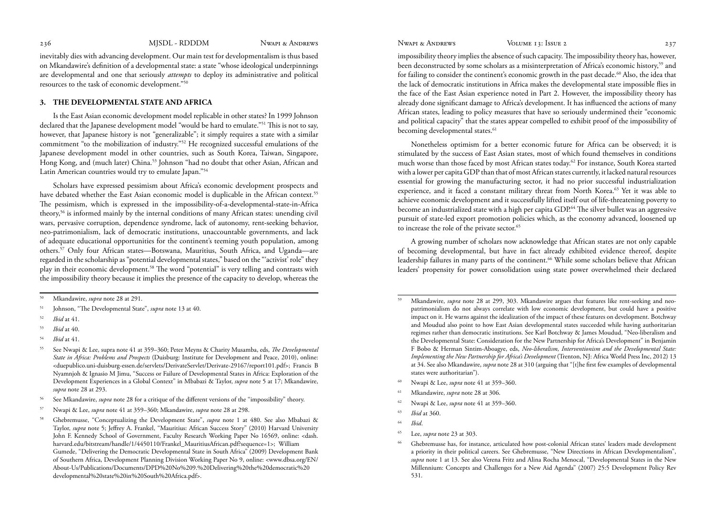<span id="page-7-0"></span>

inevitably dies with advancing development. Our main test for developmentalism is thus based on Mkandawire's definition of a developmental state: a state "whose ideological underpinnings are developmental and one that seriously *attempts* to deploy its administrative and political resources to the task of economic development."50

# **3. THE DEVELOPMENTAL STATE AND AFRICA**

Is the East Asian economic development model replicable in other states? In 1999 Johnson declared that the Japanese development model "would be hard to emulate."51 This is not to say, however, that Japanese history is not "generalizable"; it simply requires a state with a similar commitment "to the mobilization of industry."52 He recognized successful emulations of the Japanese development model in other countries, such as South Korea, Taiwan, Singapore, Hong Kong, and (much later) China.53 Johnson "had no doubt that other Asian, African and Latin American countries would try to emulate Japan."54

Scholars have expressed pessimism about Africa's economic development prospects and have debated whether the East Asian economic model is duplicable in the African context.<sup>55</sup> The pessimism, which is expressed in the impossibility-of-a-developmental-state-in-Africa theory,56 is informed mainly by the internal conditions of many African states: unending civil wars, pervasive corruption, dependence syndrome, lack of autonomy, rent-seeking behavior, neo-patrimonialism, lack of democratic institutions, unaccountable governments, and lack of adequate educational opportunities for the continent's teeming youth population, among others.57 Only four African states—Botswana, Mauritius, South Africa, and Uganda—are regarded in the scholarship as "potential developmental states," based on the "'activist' role" they play in their economic development.58 The word "potential" is very telling and contrasts with the impossibility theory because it implies the presence of the capacity to develop, whereas the

- <sup>52</sup>*Ibid* at 41.
- <sup>53</sup>*Ibid* at 40.
- <sup>54</sup>*Ibid* at 41.

- 56 See Mkandawire, *supra* note 28 for a critique of the different versions of the "impossibility" theory.
- 57 Nwapi & Lee, *supra* note 41 at 359–360; Mkandawire, *supra* note 28 at 298.
- 58 Ghebremusse, "Conceptualizing the Development State", *supra* note 1 at 480. See also Mbabazi & Taylor, *supra* note 5; Jeffrey A. Frankel, "Mauritius: African Success Story" (2010) Harvard University John F. Kennedy School of Government, Faculty Research Working Paper No 16569, online: <dash. harvard.edu/bitstream/handle/1/4450110/Frankel\_MauritiusAfrican.pdf?sequence=1>; William Gumede, "Delivering the Democratic Developmental State in South Africa" (2009) Development Bank of Southern Africa, Development Planning Division Working Paper No 9, online: <www.dbsa.org/EN/ About-Us/Publications/Documents/DPD%20No%209.%20Delivering%20the%20democratic%20 developmental%20state%20in%20South%20Africa.pdf>.

impossibility theory implies the absence of such capacity. The impossibility theory has, however, been deconstructed by some scholars as a misinterpretation of Africa's economic history,59 and for failing to consider the continent's economic growth in the past decade.<sup>60</sup> Also, the idea that the lack of democratic institutions in Africa makes the developmental state impossible flies in the face of the East Asian experience noted in Part 2. However, the impossibility theory has already done significant damage to Africa's development. It has influenced the actions of many African states, leading to policy measures that have so seriously undermined their "economic and political capacity" that the states appear compelled to exhibit proof of the impossibility of becoming developmental states.<sup>61</sup>

Nonetheless optimism for a better economic future for Africa can be observed; it is stimulated by the success of East Asian states, most of which found themselves in conditions much worse than those faced by most African states today.62 For instance, South Korea started with a lower per capita GDP than that of most African states currently, it lacked natural resources essential for growing the manufacturing sector, it had no prior successful industrialization experience, and it faced a constant military threat from North Korea.63 Yet it was able to achieve economic development and it successfully lifted itself out of life-threatening poverty to become an industrialized state with a high per capita GDP.64 The silver bullet was an aggressive pursuit of state-led export promotion policies which, as the economy advanced, loosened up to increase the role of the private sector.<sup>65</sup>

A growing number of scholars now acknowledge that African states are not only capable of becoming developmental, but have in fact already exhibited evidence thereof, despite leadership failures in many parts of the continent.66 While some scholars believe that African leaders' propensity for power consolidation using state power overwhelmed their declared

- 60 Nwapi & Lee, *supra* note 41 at 359–360.
- 61 Mkandawire, *supra* note 28 at 306.
- 62 Nwapi & Lee, *supra* note 41 at 359–360.
- <sup>63</sup>*Ibid* at 360.
- <sup>64</sup>*Ibid*.
- 65 Lee, *supra* note 23 at 303.

<sup>50</sup> Mkandawire, *supra* note 28 at 291.

<sup>51</sup> Johnson, "The Developmental State", *supra* note 13 at 40.

<sup>55</sup> See Nwapi & Lee, supra note 41 at 359–360; Peter Meyns & Charity Musamba, eds, *The Developmental State in Africa: Problems and Prospects* (Duisburg: Institute for Development and Peace, 2010), online: <duepublico.uni-duisburg-essen.de/servlets/DerivateServlet/Derivate-29167/report101.pdf>; Francis B Nyamnjoh & Ignasio M Jimu, "Success or Failure of Developmental States in Africa: Exploration of the Development Experiences in a Global Context" in Mbabazi & Taylor, *supra* note 5 at 17; Mkandawire, *supra* note 28 at 293.

<sup>59</sup> Mkandawire, *supra* note 28 at 299, 303. Mkandawire argues that features like rent-seeking and neopatrimonialism do not always correlate with low economic development, but could have a positive impact on it. He warns against the idealization of the impact of these features on development. Botchway and Moudud also point to how East Asian developmental states succeeded while having authoritarian regimes rather than democratic institutions. See Karl Botchway & James Moudud, "Neo-liberalism and the Developmental State: Consideration for the New Partnership for Africa's Development" in Benjamin F Bobo & Herman Sintim-Aboagye, eds, *Neo-liberalism, Interventionism and the Developmental State: Implementing the New Partnership for Africa's Development* (Trenton, NJ: Africa World Press Inc, 2012) 13 at 34. See also Mkandawire, *supra* note 28 at 310 (arguing that "[t]he first few examples of developmental states were authoritarian").

<sup>66</sup> Ghebremusse has, for instance, articulated how post-colonial African states' leaders made development a priority in their political careers. See Ghebremusse, "New Directions in African Developmentalism", *supra* note 1 at 13. See also Verena Fritz and Alina Rocha Menocal, "Developmental States in the New Millennium: Concepts and Challenges for a New Aid Agenda" (2007) 25:5 Development Policy Rev 531.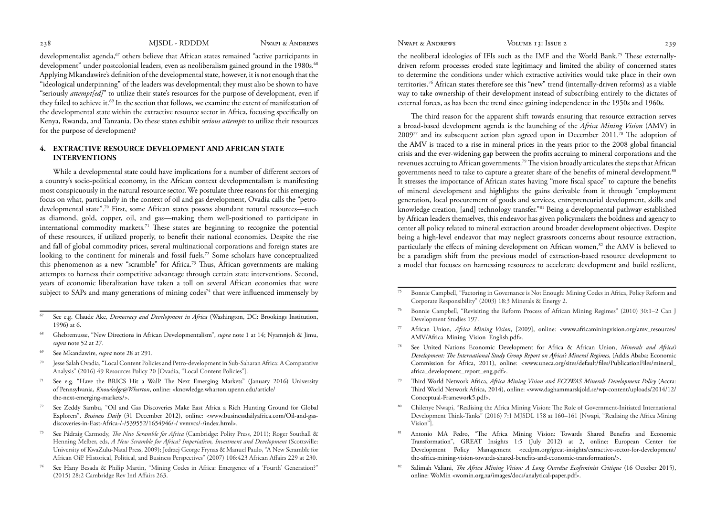<span id="page-8-0"></span>

developmentalist agenda, $67$  others believe that African states remained "active participants in development" under postcolonial leaders, even as neoliberalism gained ground in the 1980s.<sup>68</sup> Applying Mkandawire's definition of the developmental state, however, it is not enough that the "ideological underpinning" of the leaders was developmental; they must also be shown to have "seriously *attempt[ed]*" to utilize their state's resources for the purpose of development, even if they failed to achieve it.<sup>69</sup> In the section that follows, we examine the extent of manifestation of the developmental state within the extractive resource sector in Africa, focusing specifically on Kenya, Rwanda, and Tanzania. Do these states exhibit *serious attempts* to utilize their resources for the purpose of development?

# **4. EXTRACTIVE RESOURCE DEVELOPMENT AND AFRICAN STATE INTERVENTIONS**

While a developmental state could have implications for a number of different sectors of a country's socio-political economy, in the African context developmentalism is manifesting most conspicuously in the natural resource sector. We postulate three reasons for this emerging focus on what, particularly in the context of oil and gas development, Ovadia calls the "petrodevelopmental state".70 First, some African states possess abundant natural resources—such as diamond, gold, copper, oil, and gas—making them well-positioned to participate in international commodity markets.<sup>71</sup> These states are beginning to recognize the potential of these resources, if utilized properly, to benefit their national economies. Despite the rise and fall of global commodity prices, several multinational corporations and foreign states are looking to the continent for minerals and fossil fuels.<sup>72</sup> Some scholars have conceptualized this phenomenon as a new "scramble" for Africa.73 Thus, African governments are making attempts to harness their competitive advantage through certain state interventions. Second, years of economic liberalization have taken a toll on several African economies that were subject to SAPs and many generations of mining codes<sup>74</sup> that were influenced immensely by

- 67 See e.g. Claude Ake, *Democracy and Development in Africa* (Washington, DC: Brookings Institution, 1996) at 6.
- 68 Ghebremusse, "New Directions in African Developmentalism", *supra* note 1 at 14; Nyamnjoh & Jimu, *supra* note 52 at 27.
- 69 See Mkandawire, *supra* note 28 at 291.
- Jesse Salah Ovadia, "Local Content Policies and Petro-development in Sub-Saharan Africa: A Comparative Analysis" (2016) 49 Resources Policy 20 [Ovadia, "Local Content Policies"].
- 71 See e.g. "Have the BRICS Hit a Wall? The Next Emerging Markets" (January 2016) University of Pennsylvania, *Knowledge@Wharton*, online: <knowledge.wharton.upenn.edu/article/ the-next-emerging-markets/>.
- 72 See Zeddy Sambu, "Oil and Gas Discoveries Make East Africa a Rich Hunting Ground for Global Explorers", *Business Daily* (31 December 2012), online: <www.businessdailyafrica.com/Oil-and-gasdiscoveries-in-East-Africa-/-/539552/1654946/-/ vvmvcs/-/index.html>.
- 73 See Pádraig Carmody, *The New Scramble for Africa* (Cambridge: Polity Press, 2011); Roger Southall & Henning Melber, eds, *A New Scramble for Africa? Imperialism, Investment and Development* (Scottsville: University of KwaZulu-Natal Press, 2009); Jedrzej George Frynas & Manuel Paulo, "A New Scramble for African Oil? Historical, Political, and Business Perspectives" (2007) 106:423 African Affairs 229 at 230.
- 74 See Hany Besada & Philip Martin, "Mining Codes in Africa: Emergence of a 'Fourth' Generation?" (2015) 28:2 Cambridge Rev Intl Affairs 263.

the neoliberal ideologies of IFIs such as the IMF and the World Bank.75 These externallydriven reform processes eroded state legitimacy and limited the ability of concerned states to determine the conditions under which extractive activities would take place in their own territories.76 African states therefore see this "new" trend (internally-driven reforms) as a viable way to take ownership of their development instead of subscribing entirely to the dictates of external forces, as has been the trend since gaining independence in the 1950s and 1960s.

The third reason for the apparent shift towards ensuring that resource extraction serves a broad-based development agenda is the launching of the *Africa Mining Vision* (AMV) in 2009<sup>77</sup> and its subsequent action plan agreed upon in December 2011.<sup>78</sup> The adoption of the AMV is traced to a rise in mineral prices in the years prior to the 2008 global financial crisis and the ever-widening gap between the profits accruing to mineral corporations and the revenues accruing to African governments.79 The vision broadly articulates the steps that African governments need to take to capture a greater share of the benefits of mineral development.<sup>80</sup> It stresses the importance of African states having "more fiscal space" to capture the benefits of mineral development and highlights the gains derivable from it through "employment generation, local procurement of goods and services, entrepreneurial development, skills and knowledge creation, [and] technology transfer."81 Being a developmental pathway established by African leaders themselves, this endeavor has given policymakers the boldness and agency to center all policy related to mineral extraction around broader development objectives. Despite being a high-level endeavor that may neglect grassroots concerns about resource extraction, particularly the effects of mining development on African women,<sup>82</sup> the AMV is believed to be a paradigm shift from the previous model of extraction-based resource development to a model that focuses on harnessing resources to accelerate development and build resilient,

- 75 Bonnie Campbell, "Factoring in Governance is Not Enough: Mining Codes in Africa, Policy Reform and Corporate Responsibility" (2003) 18:3 Minerals & Energy 2.
- 76 Bonnie Campbell, "Revisiting the Reform Process of African Mining Regimes" (2010) 30:1–2 Can J Development Studies 197.
- 77 African Union, *Africa Mining Vision*, [2009], online: <www.africaminingvision.org/amv\_resources/ AMV/Africa\_Mining\_Vision\_English.pdf>.
- 78 See United Nations Economic Development for Africa & African Union, *Minerals and Africa's Development: The International Study Group Report on Africa's Mineral Regimes*, (Addis Ababa: Economic Commission for Africa, 2011), online: <www.uneca.org/sites/default/files/PublicationFiles/mineral\_ africa\_development\_report\_eng.pdf>.
- 79 Third World Network Africa, *Africa Mining Vision and ECOWAS Minerals Development Policy* (Accra: Third World Network Africa, 2014), online: <www.daghammarskjold.se/wp-content/uploads/2014/12/ Conceptual-Framework5.pdf>.
- 80 Chilenye Nwapi, "Realising the Africa Mining Vision: The Role of Government-Initiated International Development Think-Tanks" (2016) 7:1 MJSDL 158 at 160–161 [Nwapi, "Realising the Africa Mining Vision"].
- 81 Antonio MA Pedro, "The Africa Mining Vision: Towards Shared Benefits and Economic Transformation", GREAT Insights 1:5 (July 2012) at 2, online: European Center for Development Policy Management <ecdpm.org/great-insights/extractive-sector-for-development/ the-africa-mining-vision-towards-shared-benefits-and-economic-transformation/>.
- 82 Salimah Valiani, *The Africa Mining Vision: A Long Overdue Ecofeminist Critique* (16 October 2015), online: WoMin <womin.org.za/images/docs/analytical-paper.pdf>.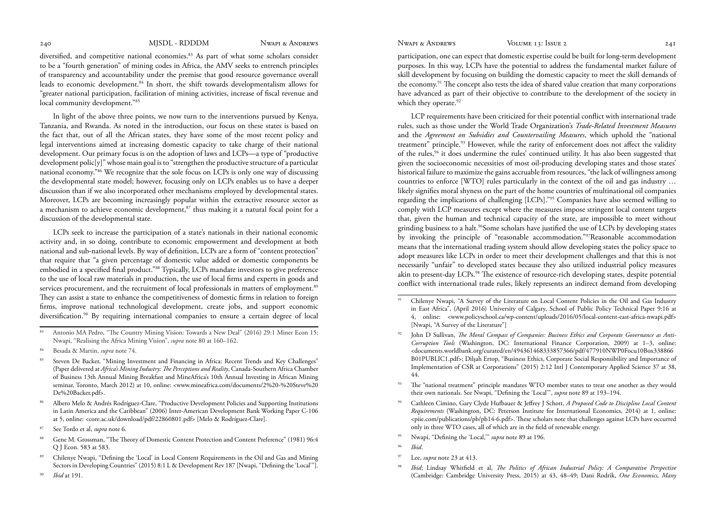diversified, and competitive national economies.83 As part of what some scholars consider to be a "fourth generation" of mining codes in Africa, the AMV seeks to entrench principles of transparency and accountability under the premise that good resource governance overall leads to economic development.84 In short, the shift towards developmentalism allows for "greater national participation, facilitation of mining activities, increase of fiscal revenue and local community development."85

In light of the above three points, we now turn to the interventions pursued by Kenya, Tanzania, and Rwanda. As noted in the introduction, our focus on these states is based on the fact that, out of all the African states, they have some of the most recent policy and legal interventions aimed at increasing domestic capacity to take charge of their national development. Our primary focus is on the adoption of laws and LCPs—a type of "productive development polic[y]" whose main goal is to "strengthen the productive structure of a particular national economy."86 We recognize that the sole focus on LCPs is only one way of discussing the developmental state model; however, focusing only on LCPs enables us to have a deeper discussion than if we also incorporated other mechanisms employed by developmental states. Moreover, LCPs are becoming increasingly popular within the extractive resource sector as a mechanism to achieve economic development, $s<sup>7</sup>$  thus making it a natural focal point for a discussion of the developmental state.

LCPs seek to increase the participation of a state's nationals in their national economic activity and, in so doing, contribute to economic empowerment and development at both national and sub-national levels. By way of definition, LCPs are a form of "content protection" that require that "a given percentage of domestic value added or domestic components be embodied in a specified final product."88 Typically, LCPs mandate investors to give preference to the use of local raw materials in production, the use of local firms and experts in goods and services procurement, and the recruitment of local professionals in matters of employment.<sup>89</sup> They can assist a state to enhance the competitiveness of domestic firms in relation to foreign firms, improve national technological development, create jobs, and support economic diversification.90 By requiring international companies to ensure a certain degree of local

- 83 Antonio MA Pedro, "The Country Mining Vision: Towards a New Deal" (2016) 29:1 Miner Econ 15; Nwapi, "Realising the Africa Mining Vision", *supra* note 80 at 160–162.
- 84 Besada & Martin, *supra* note 74.
- Steven De Backer, "Mining Investment and Financing in Africa: Recent Trends and Key Challenges" (Paper delivered at *Africa's Mining Industry: The Perceptions and Reality*, Canada-Southern Africa Chamber of Business 13th Annual Mining Breakfast and MineAfrica's 10th Annual Investing in African Mining seminar, Toronto, March 2012) at 10, online: <www.mineafrica.com/documents/2%20-%20Steve%20 De%20Backer.pdf>.
- 86 Albero Melo & Andrés Rodríguez-Clare, "Productive Development Policies and Supporting Institutions in Latin America and the Caribbean" (2006) Inter-American Development Bank Working Paper C-106 at 5, online: <core.ac.uk/download/pdf/22860801.pdf> [Melo & Rodríguez-Clare].
- 87 See Tordo et al, *supra* note 6.
- 88 Gene M. Grossman, "The Theory of Domestic Content Protection and Content Preference" (1981) 96:4 Q J Econ. 583 at 583.
- 89 Chilenye Nwapi, "Defining the 'Local' in Local Content Requirements in the Oil and Gas and Mining Sectors in Developing Countries" (2015) 8:1 L & Development Rev 187 [Nwapi, "Defining the 'Local'"].
- <sup>90</sup>*Ibid* at 191.

participation, one can expect that domestic expertise could be built for long-term development purposes. In this way, LCPs have the potential to address the fundamental market failure of skill development by focusing on building the domestic capacity to meet the skill demands of the economy.91 The concept also tests the idea of shared value creation that many corporations have advanced as part of their objective to contribute to the development of the society in which they operate.<sup>92</sup>

LCP requirements have been criticized for their potential conflict with international trade rules, such as those under the World Trade Organization's *Trade-Related Investment Measures*  and the *Agreement on Subsidies and Countervailing Measures*, which uphold the "national treatment" principle.<sup>93</sup> However, while the rarity of enforcement does not affect the validity of the rules,94 it does undermine the rules' continued utility. It has also been suggested that given the socioeconomic necessities of most oil-producing developing states and those states' historical failure to maximize the gains accruable from resources, "the lack of willingness among countries to enforce [WTO] rules particularly in the context of the oil and gas industry … likely signifies moral shyness on the part of the home countries of multinational oil companies regarding the implications of challenging [LCPs]."95 Companies have also seemed willing to comply with LCP measures except where the measures impose stringent local content targets that, given the human and technical capacity of the state, are impossible to meet without grinding business to a halt.96Some scholars have justified the use of LCPs by developing states by invoking the principle of "reasonable accommodation."97Reasonable accommodation means that the international trading system should allow developing states the policy space to adopt measures like LCPs in order to meet their development challenges and that this is not necessarily "unfair" to developed states because they also utilized industrial policy measures akin to present-day LCPs.<sup>98</sup> The existence of resource-rich developing states, despite potential conflict with international trade rules, likely represents an indirect demand from developing

- 92 John D Sullivan, *The Moral Compass of Companies: Business Ethics and Corporate Governance as Anti-Corruption Tools* (Washington, DC: International Finance Corporation, 2009) at 1–3, online: <documents.worldbank.org/curated/en/494361468333857366/pdf/477910NWP0Focu10Box338866 B01PUBLIC1.pdf>; Dilşah Ertop, "Business Ethics, Corporate Social Responsibility and Importance of Implementation of CSR at Corporations" (2015) 2:12 Intl J Contemporary Applied Science 37 at 38, 44.
- <sup>93</sup> The "national treatment" principle mandates WTO member states to treat one another as they would their own nationals. See Nwapi, "Defining the 'Local'", *supra* note 89 at 193–194.
- 94 Cathleen Cimino, Gary Clyde Hufbauer & Jeffrey J Schott, *A Proposed Code to Discipline Local Content Requirements* (Washington, DC: Peterson Institute for International Economics, 2014) at 1, online: <piie.com/publications/pb/pb14-6.pdf>. These scholars note that challenges against LCPs have occurred only in three WTO cases, all of which are in the field of renewable energy.
- 95 Nwapi, "Defining the 'Local,'" *supra* note 89 at 196.
- <sup>96</sup>*Ibid*.
- Lee, *supra* note 23 at 413.
- <sup>98</sup>*Ibid*; Lindsay Whitfield et al, *The Politics of African Industrial Policy: A Comparative Perspective*  (Cambridge: Cambridge University Press, 2015) at 43, 48–49; Dani Rodrik, *One Economics, Many*

<sup>91</sup> Chilenye Nwapi, "A Survey of the Literature on Local Content Policies in the Oil and Gas Industry in East Africa", (April 2016) University of Calgary, School of Public Policy Technical Paper 9:16 at 4, online: <www.policyschool.ca/wp-content/uploads/2016/05/local-content-east-africa-nwapi.pdf> [Nwapi, "A Survey of the Literature"]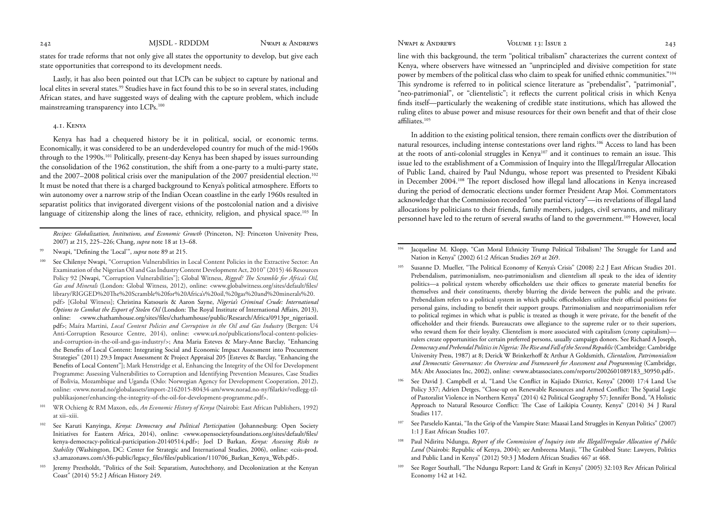<span id="page-10-0"></span>

states for trade reforms that not only give all states the opportunity to develop, but give each state opportunities that correspond to its development needs.

Lastly, it has also been pointed out that LCPs can be subject to capture by national and local elites in several states.99 Studies have in fact found this to be so in several states, including African states, and have suggested ways of dealing with the capture problem, which include mainstreaming transparency into LCPs.<sup>100</sup>

# 4.1. Kenya

Kenya has had a chequered history be it in political, social, or economic terms. Economically, it was considered to be an underdeveloped country for much of the mid-1960s through to the 1990s.101 Politically, present-day Kenya has been shaped by issues surrounding the consolidation of the 1962 constitution, the shift from a one-party to a multi-party state, and the 2007–2008 political crisis over the manipulation of the 2007 presidential election.<sup>102</sup> It must be noted that there is a charged background to Kenya's political atmosphere. Efforts to win autonomy over a narrow strip of the Indian Ocean coastline in the early 1960s resulted in separatist politics that invigorated divergent visions of the postcolonial nation and a divisive language of citizenship along the lines of race, ethnicity, religion, and physical space.<sup>103</sup> In

- 101 WR Ochieng & RM Maxon, eds, *An Economic History of Kenya* (Nairobi: East African Publishers, 1992) at xii–xiii.
- 102 See Karuti Kanyinga, *Kenya: Democracy and Political Participation* (Johannesburg: Open Society Initiatives for Eastern Africa, 2014), online: <www.opensocietyfoundations.org/sites/default/files/ kenya-democracy-political-participation-20140514.pdf>; Joel D Barkan, *Kenya: Assessing Risks to Stability* (Washington, DC: Center for Strategic and International Studies, 2006), online: <csis-prod. s3.amazonaws.com/s3fs-public/legacy\_files/files/publication/110706\_Barkan\_Kenya\_Web.pdf>.
- 103 Jeremy Prestholdt, "Politics of the Soil: Separatism, Autochthony, and Decolonization at the Kenyan Coast" (2014) 55:2 J African History 249.

line with this background, the term "political tribalism" characterizes the current context of Kenya, where observers have witnessed an "unprincipled and divisive competition for state power by members of the political class who claim to speak for unified ethnic communities."104 This syndrome is referred to in political science literature as "prebendalist", "patrimonial", "neo-patrimonial", or "clientelistic"; it reflects the current political crisis in which Kenya finds itself—particularly the weakening of credible state institutions, which has allowed the ruling elites to abuse power and misuse resources for their own benefit and that of their close affiliates.105

In addition to the existing political tension, there remain conflicts over the distribution of natural resources, including intense contestations over land rights.106 Access to land has been at the roots of anti-colonial struggles in Kenya107 and it continues to remain an issue. This issue led to the establishment of a Commission of Inquiry into the Illegal/Irregular Allocation of Public Land, chaired by Paul Ndungu, whose report was presented to President Kibaki in December 2004.108 The report disclosed how illegal land allocations in Kenya increased during the period of democratic elections under former President Arap Moi. Commentators acknowledge that the Commission recorded "one partial victory"—its revelations of illegal land allocations by politicians to their friends, family members, judges, civil servants, and military personnel have led to the return of several swaths of land to the government.109 However, local

- See David J. Campbell et al, "Land Use Conflict in Kajiado District, Kenya" (2000) 17:4 Land Use Policy 337; Adrien Detges, "Close-up on Renewable Resources and Armed Conflict: The Spatial Logic of Pastoralist Violence in Northern Kenya" (2014) 42 Political Geography 57; Jennifer Bond, "A Holistic Approach to Natural Resource Conflict: The Case of Laikipia County, Kenya" (2014) 34 J Rural Studies 117.
- 107 See Parselelo Kantai, "In the Grip of the Vampire State: Maasai Land Struggles in Kenyan Politics" (2007) 1:1 J East African Studies 107.
- 108 Paul Ndiritu Ndungu, *Report of the Commission of Inquiry into the Illegal/Irregular Allocation of Public Land* (Nairobi: Republic of Kenya, 2004); see Ambreena Manji, "The Grabbed State: Lawyers, Politics and Public Land in Kenya" (2012) 50:3 J Modern African Studies 467 at 468.
- 109 See Roger Southall, "The Ndungu Report: Land & Graft in Kenya" (2005) 32:103 Rev African Political Economy 142 at 142.

*Recipes: Globalization, Institutions, and Economic Growth* (Princeton, NJ: Princeton University Press, 2007) at 215, 225–226; Chang, *supra* note 18 at 13–68.

Nwapi, "Defining the 'Local'", *supra* note 89 at 215.

<sup>100</sup> See Chilenye Nwapi, "Corruption Vulnerabilities in Local Content Policies in the Extractive Sector: An Examination of the Nigerian Oil and Gas Industry Content Development Act, 2010" (2015) 46 Resources Policy 92 [Nwapi, "Corruption Vulnerabilities"]; Global Witness, *Rigged? The Scramble for Africa's Oil, Gas and Minerals* (London: Global Witness, 2012), online: <www.globalwitness.org/sites/default/files/ library/RIGGED%20The%20Scramble%20for%20Africa's%20oil,%20gas%20and%20minerals%20. pdf> [Global Witness]; Christina Katsouris & Aaron Sayne, *Nigeria's Criminal Crude: International Options to Combat the Export of Stolen Oil* (London: The Royal Institute of International Affairs, 2013), online: <www.chathamhouse.org/sites/files/chathamhouse/public/Research/Africa/0913pr\_nigeriaoil. pdf>; Maíra Martini, *Local Content Policies and Corruption in the Oil and Gas Industry* (Bergen: U4 Anti-Corruption Resource Centre, 2014), online: <www.u4.no/publications/local-content-policiesand-corruption-in-the-oil-and-gas-industry/>; Ana Maria Esteves & Mary-Anne Barclay, "Enhancing the Benefits of Local Content: Integrating Social and Economic Impact Assessment into Procurement Strategies" (2011) 29:3 Impact Assessment & Project Appraisal 205 [Esteves & Barclay, "Enhancing the Benefits of Local Content"]; Mark Henstridge et al, Enhancing the Integrity of the Oil for Development Programme: Assessing Vulnerabilities to Corruption and Identifying Prevention Measures, Case Studies of Bolivia, Mozambique and Uganda (Oslo: Norwegian Agency for Development Cooperation, 2012), online: <www.norad.no/globalassets/import-2162015-80434-am/www.norad.no-ny/filarkiv/vedlegg-tilpublikasjoner/enhancing-the-integrity-of-the-oil-for-development-programme.pdf>.

Jacqueline M. Klopp, "Can Moral Ethnicity Trump Political Tribalism? The Struggle for Land and Nation in Kenya" (2002) 61:2 African Studies 269 at 269.

<sup>105</sup> Susanne D. Mueller, "The Political Economy of Kenya's Crisis" (2008) 2:2 J East African Studies 201. Prebendalism, patrimonialism, neo-patrimonialism and clientelism all speak to the idea of identity politics—a political system whereby officeholders use their offices to generate material benefits for themselves and their constituents, thereby blurring the divide between the public and the private. Prebendalism refers to a political system in which public officeholders utilize their official positions for personal gains, including to benefit their support groups. Patrimonialism and neopatrimonialism refer to political regimes in which what is public is treated as though it were private, for the benefit of the officeholder and their friends. Bureaucrats owe allegiance to the supreme ruler or to their superiors, who reward them for their loyalty. Clientelism is more associated with capitalism (crony capitalism) rulers create opportunities for certain preferred persons, usually campaign donors. See Richard A Joseph, *Democracy and Prebendal Politics in Nigeria: The Rise and Fall of the Second Republic* (Cambridge: Cambridge University Press, 1987) at 8; Derick W Brinkerhoff & Arthur A Goldsmith, *Clientalism, Patrimonialism and Democratic Governance: An Overview and Framework for Assessment and Programming* (Cambridge, MA: Abt Associates Inc, 2002), online: <www.abtassociates.com/reports/2002601089183\_30950.pdf>.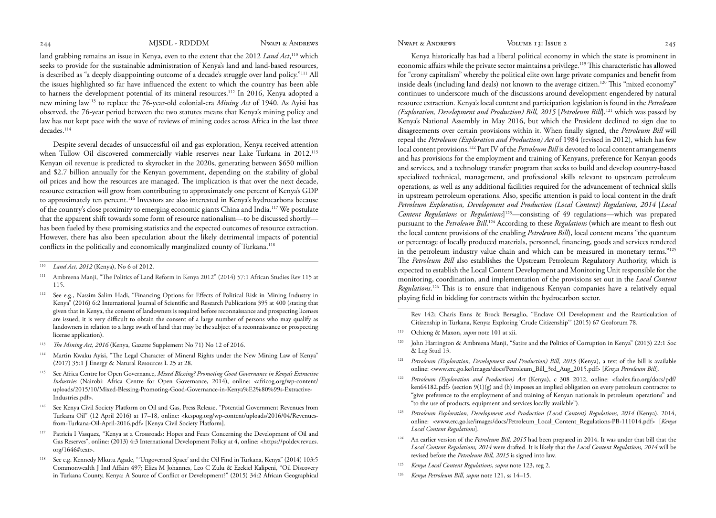land grabbing remains an issue in Kenya, even to the extent that the 2012 *Land Act*, 110 which seeks to provide for the sustainable administration of Kenya's land and land-based resources, is described as "a deeply disappointing outcome of a decade's struggle over land policy."111 All the issues highlighted so far have influenced the extent to which the country has been able to harness the development potential of its mineral resources.112 In 2016, Kenya adopted a new mining law113 to replace the 76-year-old colonial-era *Mining Act* of 1940. As Ayisi has observed, the 76-year period between the two statutes means that Kenya's mining policy and law has not kept pace with the wave of reviews of mining codes across Africa in the last three decades.<sup>114</sup>

Despite several decades of unsuccessful oil and gas exploration, Kenya received attention when Tullow Oil discovered commercially viable reserves near Lake Turkana in 2012.115 Kenyan oil revenue is predicted to skyrocket in the 2020s, generating between \$650 million and \$2.7 billion annually for the Kenyan government, depending on the stability of global oil prices and how the resources are managed. The implication is that over the next decade, resource extraction will grow from contributing to approximately one percent of Kenya's GDP to approximately ten percent.<sup>116</sup> Investors are also interested in Kenya's hydrocarbons because of the country's close proximity to emerging economic giants China and India.117 We postulate that the apparent shift towards some form of resource nationalism—to be discussed shortly has been fueled by these promising statistics and the expected outcomes of resource extraction. However, there has also been speculation about the likely detrimental impacts of potential conflicts in the politically and economically marginalized county of Turkana.<sup>118</sup>

- 111 Ambreena Manji, "The Politics of Land Reform in Kenya 2012" (2014) 57:1 African Studies Rev 115 at 115.
- 112 See e.g., Nassim Salim Hadi, "Financing Options for Effects of Political Risk in Mining Industry in Kenya" (2016) 6:2 International Journal of Scientific and Research Publications 395 at 400 (stating that given that in Kenya, the consent of landowners is required before reconnaissance and prospecting licenses are issued, it is very difficult to obtain the consent of a large number of persons who may qualify as landowners in relation to a large swath of land that may be the subject of a reconnaissance or prospecting license application).
- <sup>113</sup> The Mining Act, 2016 (Kenya, Gazette Supplement No 71) No 12 of 2016.
- 114 Martin Kwaku Ayisi, "The Legal Character of Mineral Rights under the New Mining Law of Kenya" (2017) 35:1 J Energy & Natural Resources L 25 at 28.
- 115 See Africa Centre for Open Governance, *Mixed Blessing? Promoting Good Governance in Kenya's Extractive Industries* (Nairobi: Africa Centre for Open Governance, 2014), online: <africog.org/wp-content/ uploads/2015/10/Mixed-Blessing-Promoting-Good-Governance-in-Kenya%E2%80%99s-Extractive-Industries.pdf>.
- 116 See Kenya Civil Society Platform on Oil and Gas, Press Release, "Potential Government Revenues from Turkana Oil" (12 April 2016) at 17–18, online: <kcspog.org/wp-content/uploads/2016/04/Revenuesfrom-Turkana-Oil-April-2016.pdf> [Kenya Civil Society Platform].
- 117 Patricia I Vasquez, "Kenya at a Crossroads: Hopes and Fears Concerning the Development of Oil and Gas Reserves", online: (2013) 4:3 International Development Policy at 4, online: <https://poldev.revues. org/1646#text>.
- 118 See e.g. Kennedy Mkutu Agade, "'Ungoverned Space' and the Oil Find in Turkana, Kenya" (2014) 103:5 Commonwealth J Intl Affairs 497; Eliza M Johannes, Leo C Zulu & Ezekiel Kalipeni, "Oil Discovery in Turkana County, Kenya: A Source of Conflict or Development?" (2015) 34:2 African Geographical

Kenya historically has had a liberal political economy in which the state is prominent in economic affairs while the private sector maintains a privilege.<sup>119</sup> This characteristic has allowed for "crony capitalism" whereby the political elite own large private companies and benefit from inside deals (including land deals) not known to the average citizen.120 This "mixed economy" continues to underscore much of the discussions around development engendered by natural resource extraction. Kenya's local content and participation legislation is found in the *Petroleum (Exploration, Development and Production) Bill, 2015 [Petroleum Bill]*,<sup>121</sup> which was passed by Kenya's National Assembly in May 2016, but which the President declined to sign due to disagreements over certain provisions within it. When finally signed, the *Petroleum Bill* will repeal the *Petroleum (Exploration and Production) Act* of 1984 (revised in 2012), which has few local content provisions.<sup>122</sup> Part IV of the *Petroleum Bill* is devoted to local content arrangements and has provisions for the employment and training of Kenyans, preference for Kenyan goods and services, and a technology transfer program that seeks to build and develop country-based specialized technical, management, and professional skills relevant to upstream petroleum operations, as well as any additional facilities required for the advancement of technical skills in upstream petroleum operations. Also, specific attention is paid to local content in the draft *Petroleum Exploration, Development and Production (Local Content) Regulations, 2014* [*Local Content Regulations* or *Regulations*] 123—consisting of 49 regulations—which was prepared pursuant to the *Petroleum Bill*. 124 According to these *Regulations* (which are meant to flesh out the local content provisions of the enabling *Petroleum Bill*), local content means "the quantum or percentage of locally produced materials, personnel, financing, goods and services rendered in the petroleum industry value chain and which can be measured in monetary terms."125 The *Petroleum Bill* also establishes the Upstream Petroleum Regulatory Authority, which is expected to establish the Local Content Development and Monitoring Unit responsible for the monitoring, coordination, and implementation of the provisions set out in the *Local Content Regulations*. 126 This is to ensure that indigenous Kenyan companies have a relatively equal playing field in bidding for contracts within the hydrocarbon sector.

Rev 142; Charis Enns & Brock Bersaglio, "Enclave Oil Development and the Rearticulation of Citizenship in Turkana, Kenya: Exploring 'Crude Citizenship'" (2015) 67 Geoforum 78.

- 119 Ochieng & Maxon, *supra* note 101 at xii.
- 120 John Harrington & Ambreena Manji, "Satire and the Politics of Corruption in Kenya" (2013) 22:1 Soc & Leg Stud 13.
- <sup>121</sup> Petroleum (Exploration, Development and Production) Bill, 2015 (Kenya), a text of the bill is available online: <www.erc.go.ke/images/docs/Petroleum\_Bill\_3rd\_Aug\_2015.pdf> [*Kenya Petroleum Bill*].
- <sup>122</sup>*Petroleum (Exploration and Production) Act* (Kenya), c 308 2012, online: <faolex.fao.org/docs/pdf/ ken64182.pdf> (section 9(1)(g) and (h) imposes an implied obligation on every petroleum contractor to "give preference to the employment of and training of Kenyan nationals in petroleum operations" and "to the use of products, equipment and services locally available").
- <sup>123</sup>*Petroleum Exploration, Development and Production (Local Content) Regulations, 2014* (Kenya), 2014, online: <www.erc.go.ke/images/docs/Petroleum\_Local\_Content\_Regulations-PB-111014.pdf> [*Kenya Local Content Regulations*].
- 124 An earlier version of the *Petroleum Bill, 2015* had been prepared in 2014. It was under that bill that the *Local Content Regulations, 2014* were drafted. It is likely that the *Local Content Regulations, 2014* will be revised before the *Petroleum Bill, 2015* is signed into law.
- <sup>125</sup>*Kenya Local Content Regulations*, *supra* note 123, reg 2.
- 126 *Kenya Petroleum Bill*, *supra* note 121, ss 14–15.

Land Act, 2012 (Kenya), No 6 of 2012.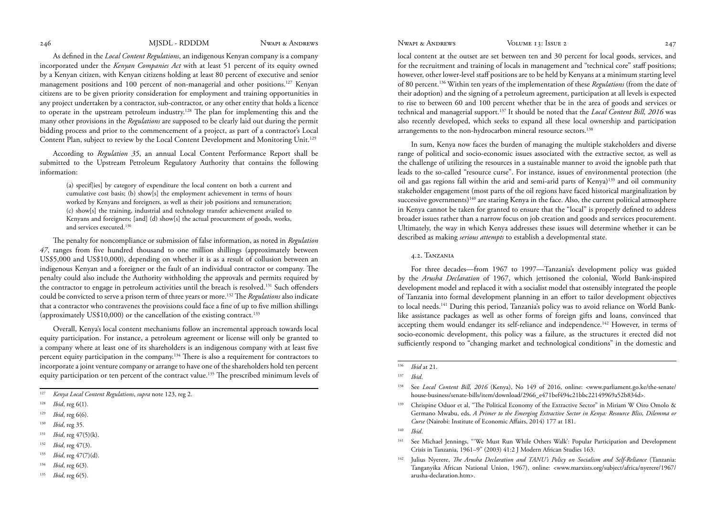<span id="page-12-0"></span>As defined in the *Local Content Regulations*, an indigenous Kenyan company is a company incorporated under the *Kenyan Companies Act* with at least 51 percent of its equity owned by a Kenyan citizen, with Kenyan citizens holding at least 80 percent of executive and senior management positions and 100 percent of non-managerial and other positions.127 Kenyan citizens are to be given priority consideration for employment and training opportunities in any project undertaken by a contractor, sub-contractor, or any other entity that holds a licence to operate in the upstream petroleum industry.128 The plan for implementing this and the many other provisions in the *Regulations* are supposed to be clearly laid out during the permit bidding process and prior to the commencement of a project, as part of a contractor's Local Content Plan, subject to review by the Local Content Development and Monitoring Unit.129

According to *Regulation 35*, an annual Local Content Performance Report shall be submitted to the Upstream Petroleum Regulatory Authority that contains the following information:

(a) specif[ies] by category of expenditure the local content on both a current and cumulative cost basis; (b) show[s] the employment achievement in terms of hours worked by Kenyans and foreigners, as well as their job positions and remuneration; (c) show[s] the training, industrial and technology transfer achievement availed to Kenyans and foreigners; [and] (d) show[s] the actual procurement of goods, works, and services executed.<sup>130</sup>

The penalty for noncompliance or submission of false information, as noted in *Regulation 47*, ranges from five hundred thousand to one million shillings (approximately between US\$5,000 and US\$10,000), depending on whether it is as a result of collusion between an indigenous Kenyan and a foreigner or the fault of an individual contractor or company. The penalty could also include the Authority withholding the approvals and permits required by the contractor to engage in petroleum activities until the breach is resolved.<sup>131</sup> Such offenders could be convicted to serve a prison term of three years or more.132 The *Regulations* also indicate that a contractor who contravenes the provisions could face a fine of up to five million shillings (approximately US\$10,000) or the cancellation of the existing contract.<sup>133</sup>

Overall, Kenya's local content mechanisms follow an incremental approach towards local equity participation. For instance, a petroleum agreement or license will only be granted to a company where at least one of its shareholders is an indigenous company with at least five percent equity participation in the company.134 There is also a requirement for contractors to incorporate a joint venture company or arrange to have one of the shareholders hold ten percent equity participation or ten percent of the contract value.135 The prescribed minimum levels of

<sup>135</sup>*Ibid*, reg 6(5).

local content at the outset are set between ten and 30 percent for local goods, services, and for the recruitment and training of locals in management and "technical core" staff positions; however, other lower-level staff positions are to be held by Kenyans at a minimum starting level of 80 percent.136 Within ten years of the implementation of these *Regulations* (from the date of their adoption) and the signing of a petroleum agreement, participation at all levels is expected to rise to between 60 and 100 percent whether that be in the area of goods and services or technical and managerial support.137 It should be noted that the *Local Content Bill, 2016* was also recently developed, which seeks to expand all these local ownership and participation arrangements to the non-hydrocarbon mineral resource sectors.138

In sum, Kenya now faces the burden of managing the multiple stakeholders and diverse range of political and socio-economic issues associated with the extractive sector, as well as the challenge of utilizing the resources in a sustainable manner to avoid the ignoble path that leads to the so-called "resource curse". For instance, issues of environmental protection (the oil and gas regions fall within the arid and semi-arid parts of Kenya)<sup>139</sup> and oil community stakeholder engagement (most parts of the oil regions have faced historical marginalization by successive governments)<sup>140</sup> are staring Kenya in the face. Also, the current political atmosphere in Kenya cannot be taken for granted to ensure that the "local" is properly defined to address broader issues rather than a narrow focus on job creation and goods and services procurement. Ultimately, the way in which Kenya addresses these issues will determine whether it can be described as making *serious attempts* to establish a developmental state.

# 4.2. Tanzania

For three decades—from 1967 to 1997—Tanzania's development policy was guided by the *Arusha Declaration* of 1967, which jettisoned the colonial, World Bank-inspired development model and replaced it with a socialist model that ostensibly integrated the people of Tanzania into formal development planning in an effort to tailor development objectives to local needs.141 During this period, Tanzania's policy was to avoid reliance on World Banklike assistance packages as well as other forms of foreign gifts and loans, convinced that accepting them would endanger its self-reliance and independence.<sup>142</sup> However, in terms of socio-economic development, this policy was a failure, as the structures it erected did not sufficiently respond to "changing market and technological conditions" in the domestic and

<sup>127</sup>*Kenya Local Content Regulations*, *supra* note 123, reg 2.

<sup>128</sup>*Ibid*, reg 6(1).

<sup>129</sup>*Ibid*, reg 6(6).

<sup>130</sup>*Ibid*, reg 35.

<sup>131</sup>*Ibid*, reg 47(5)(k).

<sup>132</sup>*Ibid*, reg 47(3).

<sup>133</sup>*Ibid*, reg 47(7)(d).

<sup>134</sup>*Ibid*, reg 6(3).

<sup>136</sup>*Ibid* at 21.

<sup>137</sup>*Ibid*.

<sup>138</sup> See *Local Content Bill, 2016* (Kenya), No 149 of 2016, online: <www.parliament.go.ke/the-senate/ house-business/senate-bills/item/download/2966\_e471bef494c21bbc22149969a52b834d>.

<sup>&</sup>lt;sup>139</sup> Chrispine Oduor et al, "The Political Economy of the Extractive Sector" in Miriam W Oiro Omolo & Germano Mwabu, eds, *A Primer to the Emerging Extractive Sector in Kenya: Resource Bliss, Dilemma or Curse* (Nairobi: Institute of Economic Affairs, 2014) 177 at 181.

<sup>140</sup>*Ibid*.

<sup>141</sup> See Michael Jennings, "'We Must Run While Others Walk': Popular Participation and Development Crisis in Tanzania, 1961–9" (2003) 41:2 J Modern African Studies 163.

<sup>142</sup> Julius Nyerere, *The Arusha Declaration and TANU's Policy on Socialism and Self-Reliance* (Tanzania: Tanganyika African National Union, 1967), online: <www.marxists.org/subject/africa/nyerere/1967/ arusha-declaration.htm>.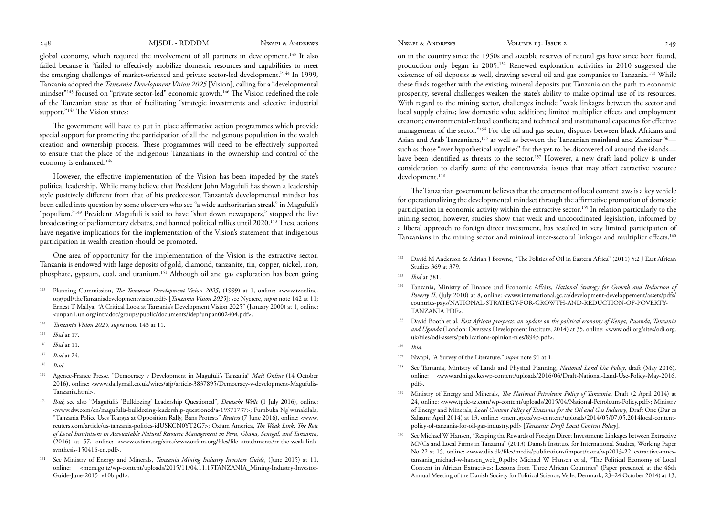global economy, which required the involvement of all partners in development.143 It also failed because it "failed to effectively mobilize domestic resources and capabilities to meet the emerging challenges of market-oriented and private sector-led development."144 In 1999, Tanzania adopted the *Tanzania Development Vision 2025* [Vision], calling for a "developmental mindset"145 focused on "private sector-led" economic growth.146 The Vision redefined the role of the Tanzanian state as that of facilitating "strategic investments and selective industrial support."<sup>147</sup> The Vision states:

The government will have to put in place affirmative action programmes which provide special support for promoting the participation of all the indigenous population in the wealth creation and ownership process. These programmes will need to be effectively supported to ensure that the place of the indigenous Tanzanians in the ownership and control of the economy is enhanced.<sup>148</sup>

However, the effective implementation of the Vision has been impeded by the state's political leadership. While many believe that President John Magufuli has shown a leadership style positively different from that of his predecessor, Tanzania's developmental mindset has been called into question by some observers who see "a wide authoritarian streak" in Magufuli's "populism."149 President Magufuli is said to have "shut down newspapers," stopped the live broadcasting of parliamentary debates, and banned political rallies until 2020.150 These actions have negative implications for the implementation of the Vision's statement that indigenous participation in wealth creation should be promoted.

One area of opportunity for the implementation of the Vision is the extractive sector. Tanzania is endowed with large deposits of gold, diamond, tanzanite, tin, copper, nickel, iron, phosphate, gypsum, coal, and uranium.151 Although oil and gas exploration has been going

- <sup>146</sup>*Ibid* at 11.
- <sup>147</sup>*Ibid* at 24.
- <sup>148</sup>*Ibid*.

on in the country since the 1950s and sizeable reserves of natural gas have since been found, production only began in 2005.152 Renewed exploration activities in 2010 suggested the existence of oil deposits as well, drawing several oil and gas companies to Tanzania.153 While these finds together with the existing mineral deposits put Tanzania on the path to economic prosperity, several challenges weaken the state's ability to make optimal use of its resources. With regard to the mining sector, challenges include "weak linkages between the sector and local supply chains; low domestic value addition; limited multiplier effects and employment creation; environmental-related conflicts; and technical and institutional capacities for effective management of the sector."154 For the oil and gas sector, disputes between black Africans and Asian and Arab Tanzanians,<sup>155</sup> as well as between the Tanzanian mainland and Zanzibar<sup>156</sup> such as those "over hypothetical royalties" for the yet-to-be-discovered oil around the islands have been identified as threats to the sector.<sup>157</sup> However, a new draft land policy is under consideration to clarify some of the controversial issues that may affect extractive resource development.158

The Tanzanian government believes that the enactment of local content laws is a key vehicle for operationalizing the developmental mindset through the affirmative promotion of domestic participation in economic activity within the extractive sector.159 In relation particularly to the mining sector, however, studies show that weak and uncoordinated legislation, informed by a liberal approach to foreign direct investment, has resulted in very limited participation of Tanzanians in the mining sector and minimal inter-sectoral linkages and multiplier effects.160

<sup>143</sup> Planning Commission, *The Tanzania Development Vision 2025*, (1999) at 1, online: <www.tzonline. org/pdf/theTanzaniadevelopmentvision.pdf> [*Tanzania Vision 2025*]; see Nyerere, *supra* note 142 at 11; Ernest T Mallya, "A Critical Look at Tanzania's Development Vision 2025" (January 2000) at 1, online: <unpan1.un.org/intradoc/groups/public/documents/idep/unpan002404.pdf>.

<sup>144</sup>*Tanzania Vision 2025, supra* note 143 at 11.

<sup>145</sup>*Ibid* at 17.

<sup>149</sup> Agence-France Presse, "Democracy v Development in Magufuli's Tanzania" *Mail Online* (14 October 2016), online: <www.dailymail.co.uk/wires/afp/article-3837895/Democracy-v-development-Magufulis-Tanzania.html>.

<sup>150</sup>*Ibid*; see also "Magufuli's 'Bulldozing' Leadership Questioned", *Deutsche Welle* (1 July 2016), online: <www.dw.com/en/magufulis-bulldozing-leadership-questioned/a-19371737>; Fumbuka Ng'wanakilala, "Tanzania Police Uses Teargas at Opposition Rally, Bans Protests" *Reuters* (7 June 2016), online: <www. reuters.com/article/us-tanzania-politics-idUSKCN0YT2G7>; Oxfam America, *The Weak Link: The Role of Local Institutions in Accountable Natural Resource Management in Peru, Ghana, Senegal, and Tanzania*, (2016) at 57, online: <www.oxfam.org/sites/www.oxfam.org/files/file\_attachments/rr-the-weak-linksynthesis-150416-en.pdf>.

See Ministry of Energy and Minerals, *Tanzania Mining Industry Investors Guide*, (June 2015) at 11, online: <mem.go.tz/wp-content/uploads/2015/11/04.11.15TANZANIA\_Mining-Industry-Investor-Guide-June-2015\_v10b.pdf>.

<sup>152</sup> David M Anderson & Adrian J Browne, "The Politics of Oil in Eastern Africa" (2011) 5:2 J East African Studies 369 at 379.

<sup>153</sup>*Ibid* at 381.

<sup>154</sup> Tanzania, Ministry of Finance and Economic Affairs, *National Strategy for Growth and Reduction of Poverty II*, (July 2010) at 8, online: <www.international.gc.ca/development-developpement/assets/pdfs/ countries-pays/NATIONAL-STRATEGY-FOR-GROWTH-AND-REDUCTION-OF-POVERTY-TANZANIA.PDF>.

<sup>155</sup> David Booth et al, *East African prospects: an update on the political economy of Kenya, Rwanda, Tanzania and Uganda* (London: Overseas Development Institute, 2014) at 35, online: <www.odi.org/sites/odi.org. uk/files/odi-assets/publications-opinion-files/8945.pdf>.

<sup>156</sup>*Ibid*.

<sup>157</sup> Nwapi, "A Survey of the Literature," *supra* note 91 at 1.

<sup>158</sup> See Tanzania, Ministry of Lands and Physical Planning, *National Land Use Policy*, draft (May 2016), online: <www.ardhi.go.ke/wp-content/uploads/2016/06/Draft-National-Land-Use-Policy-May-2016. pdf>.

<sup>159</sup> Ministry of Energy and Minerals, *The National Petroleum Policy of Tanzania*, Draft (2 April 2014) at 24, online: <www.tpdc-tz.com/wp-content/uploads/2015/04/National-Petroleum-Policy.pdf>; Ministry of Energy and Minerals, *Local Content Policy of Tanzania for the Oil and Gas Industry*, Draft One (Dar es Salaam: April 2014) at 13, online: <mem.go.tz/wp-content/uploads/2014/05/07.05.2014local-contentpolicy-of-tanzania-for-oil-gas-industry.pdf> [*Tanzania Draft Local Content Policy*].

See Michael W Hansen, "Reaping the Rewards of Foreign Direct Investment: Linkages between Extractive MNCs and Local Firms in Tanzania" (2013) Danish Institute for International Studies, Working Paper No 22 at 15, online: <www.diis.dk/files/media/publications/import/extra/wp2013-22\_extractive-mncstanzania\_michael-w-hansen\_web\_0.pdf>; Michael W Hansen et al, "The Political Economy of Local Content in African Extractives: Lessons from Three African Countries" (Paper presented at the 46th Annual Meeting of the Danish Society for Political Science, Vejle, Denmark, 23–24 October 2014) at 13,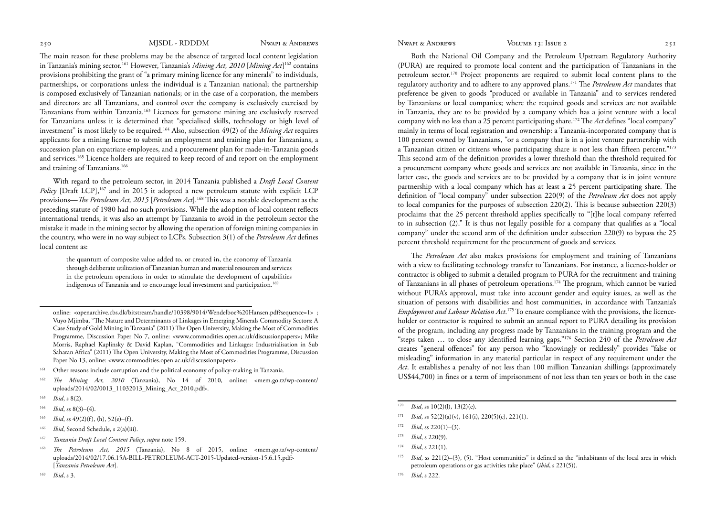The main reason for these problems may be the absence of targeted local content legislation in Tanzania's mining sector.161 However, Tanzania's *Mining Act, 2010* [*Mining Act*] 162 contains provisions prohibiting the grant of "a primary mining licence for any minerals" to individuals, partnerships, or corporations unless the individual is a Tanzanian national; the partnership is composed exclusively of Tanzanian nationals; or in the case of a corporation, the members and directors are all Tanzanians, and control over the company is exclusively exercised by Tanzanians from within Tanzania.163 Licences for gemstone mining are exclusively reserved for Tanzanians unless it is determined that "specialised skills, technology or high level of investment" is most likely to be required.164 Also, subsection 49(2) of the *Mining Act* requires applicants for a mining license to submit an employment and training plan for Tanzanians, a succession plan on expatriate employees, and a procurement plan for made-in-Tanzania goods and services.<sup>165</sup> Licence holders are required to keep record of and report on the employment and training of Tanzanians.166

With regard to the petroleum sector, in 2014 Tanzania published a *Draft Local Content Policy* [Draft LCP],<sup>167</sup> and in 2015 it adopted a new petroleum statute with explicit LCP provisions—*The Petroleum Act, 2015* [*Petroleum Act*].168 This was a notable development as the preceding statute of 1980 had no such provisions. While the adoption of local content reflects international trends, it was also an attempt by Tanzania to avoid in the petroleum sector the mistake it made in the mining sector by allowing the operation of foreign mining companies in the country, who were in no way subject to LCPs. Subsection 3(1) of the *Petroleum Act* defines local content as:

the quantum of composite value added to, or created in, the economy of Tanzania through deliberate utilization of Tanzanian human and material resources and services in the petroleum operations in order to stimulate the development of capabilities indigenous of Tanzania and to encourage local investment and participation.<sup>169</sup>

- <sup>163</sup>*Ibid*, s 8(2).
- $164$  *Ibid*, ss  $8(3)–(4)$ .
- *Ibid*, ss 49(2)(f), (h), 52(e)–(f).
- <sup>166</sup>*Ibid*, Second Schedule, s 2(a)(iii).
- <sup>167</sup>*Tanzania Draft Local Content Policy*, *supra* note 159.
- <sup>168</sup>*The Petroleum Act, 2015* (Tanzania), No 8 of 2015, online: <mem.go.tz/wp-content/ uploads/2014/02/17.06.15A-BILL-PETROLEUM-ACT-2015-Updated-version-15.6.15.pdf> [*Tanzania Petroleum Act*].
- <sup>169</sup>*Ibid*, s 3.

Both the National Oil Company and the Petroleum Upstream Regulatory Authority (PURA) are required to promote local content and the participation of Tanzanians in the petroleum sector.170 Project proponents are required to submit local content plans to the regulatory authority and to adhere to any approved plans.171 The *Petroleum Act* mandates that preference be given to goods "produced or available in Tanzania" and to services rendered by Tanzanians or local companies; where the required goods and services are not available in Tanzania, they are to be provided by a company which has a joint venture with a local company with no less than a 25 percent participating share.172 The *Act* defines "local company" mainly in terms of local registration and ownership: a Tanzania-incorporated company that is 100 percent owned by Tanzanians, "or a company that is in a joint venture partnership with a Tanzanian citizen or citizens whose participating share is not less than fifteen percent."<sup>173</sup> This second arm of the definition provides a lower threshold than the threshold required for a procurement company where goods and services are not available in Tanzania, since in the latter case, the goods and services are to be provided by a company that is in joint venture partnership with a local company which has at least a 25 percent participating share. The definition of "local company" under subsection 220(9) of the *Petroleum Act* does not apply to local companies for the purposes of subsection 220(2). This is because subsection 220(3) proclaims that the 25 percent threshold applies specifically to "[t]he local company referred to in subsection (2)." It is thus not legally possible for a company that qualifies as a "local company" under the second arm of the definition under subsection 220(9) to bypass the 25 percent threshold requirement for the procurement of goods and services.

The *Petroleum Act* also makes provisions for employment and training of Tanzanians with a view to facilitating technology transfer to Tanzanians. For instance, a licence-holder or contractor is obliged to submit a detailed program to PURA for the recruitment and training of Tanzanians in all phases of petroleum operations.174 The program, which cannot be varied without PURA's approval, must take into account gender and equity issues, as well as the situation of persons with disabilities and host communities, in accordance with Tanzania's *Employment and Labour Relation Act*. 175 To ensure compliance with the provisions, the licenceholder or contractor is required to submit an annual report to PURA detailing its provision of the program, including any progress made by Tanzanians in the training program and the "steps taken … to close any identified learning gaps."176 Section 240 of the *Petroleum Act* creates "general offences" for any person who "knowingly or recklessly" provides "false or misleading" information in any material particular in respect of any requirement under the *Act*. It establishes a penalty of not less than 100 million Tanzanian shillings (approximately US\$44,700) in fines or a term of imprisonment of not less than ten years or both in the case

- <sup>170</sup> *Ibid*, ss 10(2)(l), 13(2)(e).
- $171$  *Ibid*, ss  $52(2)(a)(v)$ ,  $161(i)$ ,  $220(5)(c)$ ,  $221(1)$ .
- $172$  *Ibid*, ss 220(1)–(3).
- <sup>173</sup>*Ibid*, s 220(9).
- <sup>174</sup>*Ibid*, s 221(1).
- 175*Ibid*, ss 221(2)–(3), (5). "Host communities" is defined as the "inhabitants of the local area in which petroleum operations or gas activities take place" (*ibid*, s 221(5)).
- 176 *Ibid*, s 222.

online: <openarchive.cbs.dk/bitstream/handle/10398/9014/Wendelboe%20Hansen.pdf?sequence=1> ; Vuyo Mjimba, "The Nature and Determinants of Linkages in Emerging Minerals Commodity Sectors: A Case Study of Gold Mining in Tanzania" (2011) The Open University, Making the Most of Commodities Programme, Discussion Paper No 7, online: <www.commodities.open.ac.uk/discussionpapers>; Mike Morris, Raphael Kaplinsky & David Kaplan, "Commodities and Linkages: Industrialisation in Sub Saharan Africa" (2011) The Open University, Making the Most of Commodities Programme, Discussion Paper No 13, online: <www.commodities.open.ac.uk/discussionpapers>.

<sup>&</sup>lt;sup>161</sup> Other reasons include corruption and the political economy of policy-making in Tanzania.

<sup>162</sup>*The Mining Act, 2010* (Tanzania), No 14 of 2010, online: <mem.go.tz/wp-content/ uploads/2014/02/0013\_11032013\_Mining\_Act\_2010.pdf>.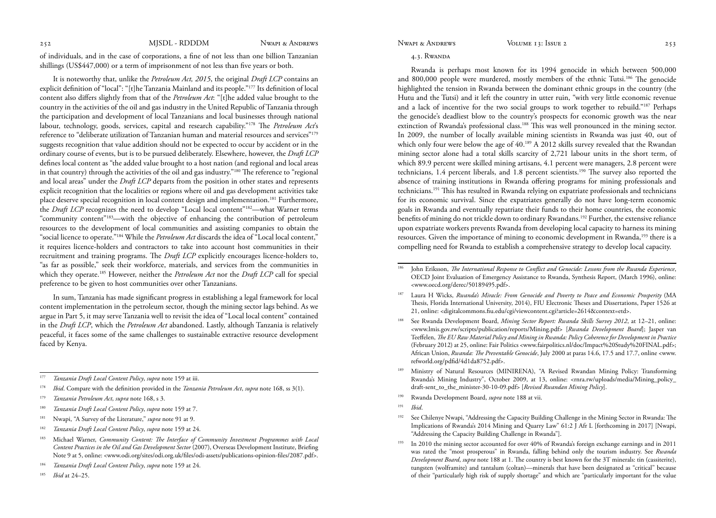<span id="page-15-0"></span>of individuals, and in the case of corporations, a fine of not less than one billion Tanzanian shillings (US\$447,000) or a term of imprisonment of not less than five years or both.

It is noteworthy that, unlike the *Petroleum Act, 2015*, the original *Draft LCP* contains an explicit definition of "local": "[t]he Tanzania Mainland and its people."177 Its definition of local content also differs slightly from that of the *Petroleum Act*: "[t]he added value brought to the country in the activities of the oil and gas industry in the United Republic of Tanzania through the participation and development of local Tanzanians and local businesses through national labour, technology, goods, services, capital and research capability."178 The *Petroleum Act*'s reference to "deliberate utilization of Tanzanian human and material resources and services"179 suggests recognition that value addition should not be expected to occur by accident or in the ordinary course of events, but is to be pursued deliberately. Elsewhere, however, the *Draft LCP* defines local content as "the added value brought to a host nation (and regional and local areas in that country) through the activities of the oil and gas industry."180 The reference to "regional and local areas" under the *Draft LCP* departs from the position in other states and represents explicit recognition that the localities or regions where oil and gas development activities take place deserve special recognition in local content design and implementation.<sup>181</sup> Furthermore, the *Draft LCP* recognizes the need to develop "Local local content"<sup>182</sup>—what Warner terms "community content"183—with the objective of enhancing the contribution of petroleum resources to the development of local communities and assisting companies to obtain the "social licence to operate."184 While the *Petroleum Act* discards the idea of "Local local content," it requires licence-holders and contractors to take into account host communities in their recruitment and training programs. The *Draft LCP* explicitly encourages licence-holders to, "as far as possible," seek their workforce, materials, and services from the communities in which they operate.<sup>185</sup> However, neither the *Petroleum Act* nor the *Draft LCP* call for special preference to be given to host communities over other Tanzanians.

In sum, Tanzania has made significant progress in establishing a legal framework for local content implementation in the petroleum sector, though the mining sector lags behind. As we argue in Part 5, it may serve Tanzania well to revisit the idea of "Local local content" contained in the *Draft LCP*, which the *Petroleum Act* abandoned. Lastly, although Tanzania is relatively peaceful, it faces some of the same challenges to sustainable extractive resource development faced by Kenya.

- <sup>177</sup>*Tanzania Draft Local Content Policy*, *supra* note 159 at iii.
- <sup>178</sup>*Ibid*. Compare with the definition provided in the *Tanzania Petroleum Act*, *supra* note 168, ss 3(1).
- <sup>179</sup>*Tanzania Petroleum Act*, *supra* note 168, s 3.
- <sup>180</sup>*Tanzania Draft Local Content Policy*, *supra* note 159 at 7.
- 181 Nwapi, "A Survey of the Literature," *supra* note 91 at 9.
- <sup>182</sup>*Tanzania Draft Local Content Policy*, *supra* note 159 at 24.
- 183 Michael Warner, *Community Content: The Interface of Community Investment Programmes with Local Content Practices in the Oil and Gas Development Sector* (2007), Overseas Development Institute, Briefing Note 9 at 5, online: <www.odi.org/sites/odi.org.uk/files/odi-assets/publications-opinion-files/2087.pdf>.
- <sup>184</sup>*Tanzania Draft Local Content Policy*, *supra* note 159 at 24.
- <sup>185</sup>*Ibid* at 24–25.

# 4.3. Rwanda

Rwanda is perhaps most known for its 1994 genocide in which between 500,000 and 800,000 people were murdered, mostly members of the ethnic Tutsi.186 The genocide highlighted the tension in Rwanda between the dominant ethnic groups in the country (the Hutu and the Tutsi) and it left the country in utter ruin, "with very little economic revenue and a lack of incentive for the two social groups to work together to rebuild."187 Perhaps the genocide's deadliest blow to the country's prospects for economic growth was the near extinction of Rwanda's professional class.<sup>188</sup> This was well pronounced in the mining sector. In 2009, the number of locally available mining scientists in Rwanda was just 40, out of which only four were below the age of 40.<sup>189</sup> A 2012 skills survey revealed that the Rwandan mining sector alone had a total skills scarcity of 2,721 labour units in the short term, of which 89.9 percent were skilled mining artisans, 4.1 percent were managers, 2.8 percent were technicians, 1.4 percent liberals, and 1.8 percent scientists.190 The survey also reported the absence of training institutions in Rwanda offering programs for mining professionals and technicians.191 This has resulted in Rwanda relying on expatriate professionals and technicians for its economic survival. Since the expatriates generally do not have long-term economic goals in Rwanda and eventually repatriate their funds to their home countries, the economic benefits of mining do not trickle down to ordinary Rwandans.192 Further, the extensive reliance upon expatriate workers prevents Rwanda from developing local capacity to harness its mining resources. Given the importance of mining to economic development in Rwanda,<sup>193</sup> there is a compelling need for Rwanda to establish a comprehensive strategy to develop local capacity.

- 187 Laura H Wicks, *Rwanda's Miracle: From Genocide and Poverty to Peace and Economic Prosperity* (MA Thesis, Florida International University, 2014), FIU Electronic Theses and Dissertations, Paper 1526 at 21, online: <digitalcommons.fiu.edu/cgi/viewcontent.cgi?article=2614&context=etd>.
- 188 See Rwanda Development Board, *Mining Sector Report: Rwanda Skills Survey 2012*, at 12–21, online: <www.lmis.gov.rw/scripts/publication/reports/Mining.pdf> [*Rwanda Development Board*]; Jasper van Teeffelen, *The EU Raw Material Policy and Mining in Rwanda: Policy Coherence for Development in Practice*  (February 2012) at 25, online: Fair Politics <www.fairpolitics.nl/doc/Impact%20Study%20FINAL.pdf>; African Union, *Rwanda: The Preventable Genocide*, July 2000 at paras 14.6, 17.5 and 17.7, online <www. refworld.org/pdfid/4d1da8752.pdf>.
- 189 Ministry of Natural Resources (MINIRENA), "A Revised Rwandan Mining Policy: Transforming Rwanda's Mining Industry", October 2009, at 13, online: <rnra.rw/uploads/media/Mining\_policy\_ draft-sent\_to\_the\_minister-30-10-09.pdf> [*Revised Rwandan Mining Policy*].
- 190 Rwanda Development Board, *supra* note 188 at vii.
- <sup>191</sup>*Ibid*.
- <sup>192</sup> See Chilenye Nwapi, "Addressing the Capacity Building Challenge in the Mining Sector in Rwanda: The Implications of Rwanda's 2014 Mining and Quarry Law" 61:2 J Afr L [forthcoming in 2017] [Nwapi, "Addressing the Capacity Building Challenge in Rwanda"].
- 193 In 2010 the mining sector accounted for over 40% of Rwanda's foreign exchange earnings and in 2011 was rated the "most prosperous" in Rwanda, falling behind only the tourism industry. See *Rwanda Development Board*, *supra* note 188 at 1. The country is best known for the 3T minerals: tin (cassiterite), tungsten (wolframite) and tantalum (coltan)—minerals that have been designated as "critical" because of their "particularly high risk of supply shortage" and which are "particularly important for the value

<sup>186</sup> John Eriksson, *The International Response to Conflict and Genocide: Lessons from the Rwanda Experience*, OECD Joint Evaluation of Emergency Assistance to Rwanda, Synthesis Report, (March 1996), online: <www.oecd.org/derec/50189495.pdf>.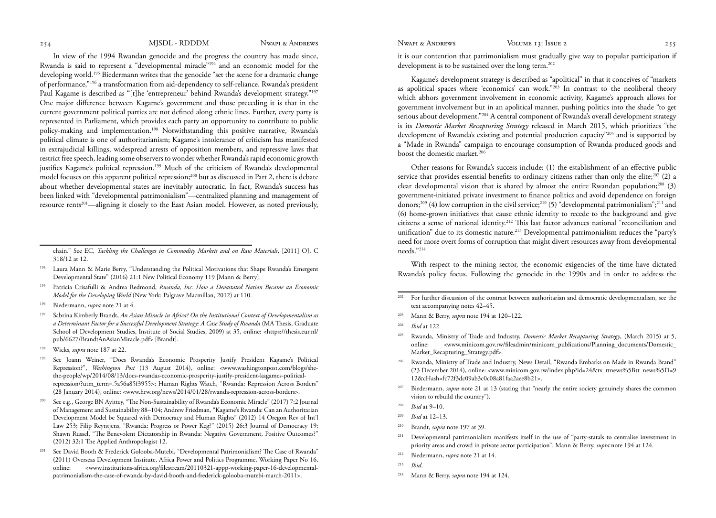In view of the 1994 Rwandan genocide and the progress the country has made since, Rwanda is said to represent a "developmental miracle"194 and an economic model for the developing world.195 Biedermann writes that the genocide "set the scene for a dramatic change of performance,"196 a transformation from aid-dependency to self-reliance. Rwanda's president Paul Kagame is described as "[t]he 'entrepreneur' behind Rwanda's development strategy."197 One major difference between Kagame's government and those preceding it is that in the current government political parties are not defined along ethnic lines. Further, every party is represented in Parliament, which provides each party an opportunity to contribute to public policy-making and implementation.198 Notwithstanding this positive narrative, Rwanda's political climate is one of authoritarianism; Kagame's intolerance of criticism has manifested in extrajudicial killings, widespread arrests of opposition members, and repressive laws that restrict free speech, leading some observers to wonder whether Rwanda's rapid economic growth justifies Kagame's political repression.199 Much of the criticism of Rwanda's developmental model focuses on this apparent political repression;200 but as discussed in Part 2, there is debate about whether developmental states are inevitably autocratic. In fact, Rwanda's success has been linked with "developmental patrimonialism"—centralized planning and management of resource rents201—aligning it closely to the East Asian model. However, as noted previously,

- 194 Laura Mann & Marie Berry, "Understanding the Political Motivations that Shape Rwanda's Emergent Developmental State" (2016) 21:1 New Political Economy 119 [Mann & Berry].
- 195 Patricia Crisafulli & Andrea Redmond, *Rwanda, Inc: How a Devastated Nation Became an Economic Model for the Developing World* (New York: Palgrave Macmillan, 2012) at 110.
- 196 Biedermann, *supra* note 21 at 4.
- 197 Sabrina Kimberly Brandt, *An Asian Miracle in Africa? On the Institutional Context of Developmentalism as a Determinant Factor for a Successful Development Strategy: A Case Study of Rwanda* (MA Thesis, Graduate School of Development Studies, Institute of Social Studies, 2009) at 35, online: <https://thesis.eur.nl/ pub/6627/BrandtAnAsianMiracle.pdf> [Brandt].
- 198 Wicks, *supra* note 187 at 22.
- 199 See Joann Weiner, "Does Rwanda's Economic Prosperity Justify President Kagame's Political Repression?", *Washington Post* (13 August 2014), online: <www.washingtonpost.com/blogs/shethe-people/wp/2014/08/13/does-rwandas-economic-prosperity-justify-president-kagames-politicalrepression/?utm\_term=.5a56a85f3955>; Human Rights Watch, "Rwanda: Repression Across Borders" (28 January 2014), online: <www.hrw.org/news/2014/01/28/rwanda-repression-across-borders>.
- 200 See e.g., George BN Ayittey, "The Non-Sustainability of Rwanda's Economic Miracle" (2017) 7:2 Journal of Management and Sustainability 88–104; Andrew Friedman, "Kagame's Rwanda: Can an Authoritarian Development Model be Squared with Democracy and Human Rights" (2012) 14 Oregon Rev of Int'l Law 253; Filip Reyntjens, "Rwanda: Progress or Power Keg?" (2015) 26:3 Journal of Democracy 19; Shawn Russel, "The Benevolent Dictatorship in Rwanda: Negative Government, Positive Outcomes?" (2012) 32:1 The Applied Anthropologist 12.
- 201 See David Booth & Frederick Golooba-Mutebi, "Developmental Patrimonialism? The Case of Rwanda" (2011) Overseas Development Institute, Africa Power and Politics Programme, Working Paper No 16, online: <www.institutions-africa.org/filestream/20110321-appp-working-paper-16-developmentalpatrimonialism-the-case-of-rwanda-by-david-booth-and-frederick-golooba-mutebi-march-2011>.

it is our contention that patrimonialism must gradually give way to popular participation if development is to be sustained over the long term.<sup>202</sup>

Kagame's development strategy is described as "apolitical" in that it conceives of "markets as apolitical spaces where 'economics' can work."203 In contrast to the neoliberal theory which abhors government involvement in economic activity, Kagame's approach allows for government involvement but in an apolitical manner, pushing politics into the shade "to get serious about development."<sup>204</sup> A central component of Rwanda's overall development strategy is its *Domestic Market Recapturing Strategy* released in March 2015, which prioritizes "the development of Rwanda's existing and potential production capacity"<sup>205</sup> and is supported by a "Made in Rwanda" campaign to encourage consumption of Rwanda-produced goods and boost the domestic market.<sup>206</sup>

Other reasons for Rwanda's success include: (1) the establishment of an effective public service that provides essential benefits to ordinary citizens rather than only the elite;<sup>207</sup> (2) a clear developmental vision that is shared by almost the entire Rwandan population;<sup>208</sup> (3) government-initiated private investment to finance politics and avoid dependence on foreign donors;<sup>209</sup> (4) low corruption in the civil service;<sup>210</sup> (5) "developmental patrimonialism";<sup>211</sup> and (6) home-grown initiatives that cause ethnic identity to recede to the background and give citizens a sense of national identity.212 This last factor advances national "reconciliation and unification" due to its domestic nature.213 Developmental patrimonialism reduces the "party's need for more overt forms of corruption that might divert resources away from developmental needs."214

With respect to the mining sector, the economic exigencies of the time have dictated Rwanda's policy focus. Following the genocide in the 1990s and in order to address the

- <sup>202</sup> For further discussion of the contrast between authoritarian and democratic developmentalism, see the text accompanying notes 42–45.
- 203 Mann & Berry, *supra* note 194 at 120–122.
- <sup>204</sup>*Ibid* at 122.
- 205 Rwanda, Ministry of Trade and Industry, *Domestic Market Recapturing Strategy*, (March 2015) at 5, online: <www.minicom.gov.rw/fileadmin/minicom\_publications/Planning\_documents/Domestic\_ Market\_Recapturing\_Strategy.pdf>.
- 206 Rwanda, Ministry of Trade and Industry, News Detail, "Rwanda Embarks on Made in Rwanda Brand" (23 December 2014), online: <www.minicom.gov.rw/index.php?id=24&tx\_ttnews%5Btt\_news%5D=9 12&cHash=fc72f3dc09ab3c0c08a81faa2aee8b21>.
- <sup>207</sup> Biedermann, *supra* note 21 at 13 (stating that "nearly the entire society genuinely shares the common vision to rebuild the country").
- <sup>208</sup>*Ibid* at 9–10.
- <sup>209</sup>*Ibid* at 12–13.
- 210 Brandt, *supra* note 197 at 39.
- <sup>211</sup> Developmental patrimonialism manifests itself in the use of "party-statals to centralise investment in priority areas and crowd in private sector participation". Mann & Berry, *supra* note 194 at 124.
- 212 Biedermann, *supra* note 21 at 14.
- <sup>213</sup>*Ibid*.
- 214 Mann & Berry, *supra* note 194 at 124.

chain." See EC, *Tackling the Challenges in Commodity Markets and on Raw Materials*, [2011] OJ, C 318/12 at 12.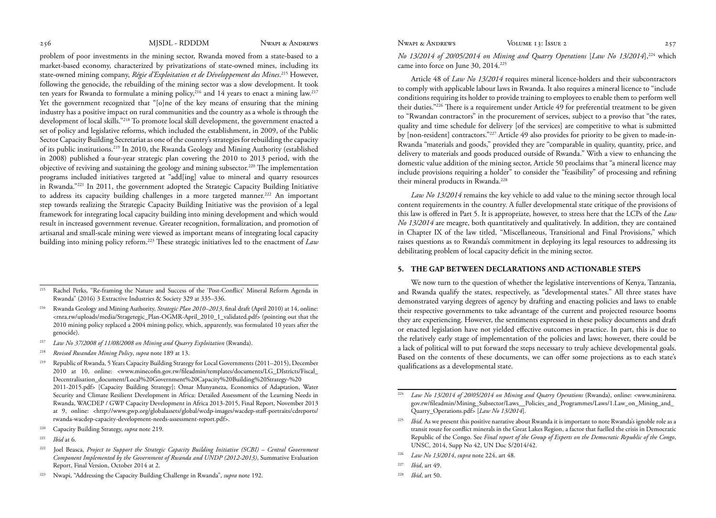<span id="page-17-0"></span>problem of poor investments in the mining sector, Rwanda moved from a state-based to a market-based economy, characterized by privatizations of state-owned mines, including its state-owned mining company, *Régie d'Exploitation et de Développement des Mines*. 215 However, following the genocide, the rebuilding of the mining sector was a slow development. It took ten years for Rwanda to formulate a mining policy,  $216$  and 14 years to enact a mining law.<sup>217</sup> Yet the government recognized that "[o]ne of the key means of ensuring that the mining industry has a positive impact on rural communities and the country as a whole is through the development of local skills."218 To promote local skill development, the government enacted a set of policy and legislative reforms, which included the establishment, in 2009, of the Public Sector Capacity Building Secretariat as one of the country's strategies for rebuilding the capacity of its public institutions.219 In 2010, the Rwanda Geology and Mining Authority (established in 2008) published a four-year strategic plan covering the 2010 to 2013 period, with the objective of reviving and sustaining the geology and mining subsector.220 The implementation programs included initiatives targeted at "add[ing] value to mineral and quarry resources in Rwanda."221 In 2011, the government adopted the Strategic Capacity Building Initiative to address its capacity building challenges in a more targeted manner.222 An important step towards realizing the Strategic Capacity Building Initiative was the provision of a legal framework for integrating local capacity building into mining development and which would result in increased government revenue. Greater recognition, formalization, and promotion of artisanal and small-scale mining were viewed as important means of integrating local capacity building into mining policy reform.223 These strategic initiatives led to the enactment of *Law* 

- <sup>217</sup>*Law No 37/2008 of 11/08/2008 on Mining and Quarry Exploitation* (Rwanda).
- <sup>218</sup>*Revised Rwandan Mining Policy*, *supra* note 189 at 13.
- 219 Republic of Rwanda, 5 Years Capacity Building Strategy for Local Governments (2011–2015), December 2010 at 10, online: <www.minecofin.gov.rw/fileadmin/templates/documents/LG\_DIstricts/Fiscal\_ Decentralisation\_document/Local%20Government%20Capacity%20Building%20Strategy-%20 2011-2015.pdf> [Capacity Building Strategy]; Omar Munyaneza, Economics of Adaptation, Water Security and Climate Resilient Development in Africa: Detailed Assessment of the Learning Needs in Rwanda, WACDEP / GWP Capacity Development in Africa 2013-2015, Final Report, November 2013 at 9, online: <http://www.gwp.org/globalassets/global/wcdp-images/wacdep-staff-portraits/cdreports/ rwanda-wacdep-capacity-development-needs-assessment-report.pdf>.
- 220 Capacity Building Strategy, *supra* note 219.
- <sup>221</sup>*Ibid* at 6.
- <sup>222</sup> Joel Beasca, *Project to Support the Strategic Capacity Building Initiative (SCBI) Central Government Component Implemented by the Government of Rwanda and UNDP (2012-2013)*, Summative Evaluation Report, Final Version, October 2014 at 2.
- 223 Nwapi, "Addressing the Capacity Building Challenge in Rwanda", *supra* note 192.

*No 13/2014 of 20/05/2014 on Mining and Quarry Operations* [*Law No 13/2014*],224 which came into force on June 30, 2014.<sup>225</sup>

Article 48 of *Law No 13/2014* requires mineral licence-holders and their subcontractors to comply with applicable labour laws in Rwanda. It also requires a mineral licence to "include conditions requiring its holder to provide training to employees to enable them to perform well their duties."226 There is a requirement under Article 49 for preferential treatment to be given to "Rwandan contractors" in the procurement of services, subject to a proviso that "the rates, quality and time schedule for delivery [of the services] are competitive to what is submitted by [non-resident] contractors."227 Article 49 also provides for priority to be given to made-in-Rwanda "materials and goods," provided they are "comparable in quality, quantity, price, and delivery to materials and goods produced outside of Rwanda." With a view to enhancing the domestic value addition of the mining sector, Article 50 proclaims that "a mineral licence may include provisions requiring a holder" to consider the "feasibility" of processing and refining their mineral products in Rwanda.<sup>228</sup>

*Law No 13/2014* remains the key vehicle to add value to the mining sector through local content requirements in the country. A fuller developmental state critique of the provisions of this law is offered in Part 5. It is appropriate, however, to stress here that the LCPs of the *Law No 13/2014* are meagre, both quantitatively and qualitatively. In addition, they are contained in Chapter IX of the law titled, "Miscellaneous, Transitional and Final Provisions," which raises questions as to Rwanda's commitment in deploying its legal resources to addressing its debilitating problem of local capacity deficit in the mining sector.

### **5. THE GAP BETWEEN DECLARATIONS AND ACTIONABLE STEPS**

We now turn to the question of whether the legislative interventions of Kenya, Tanzania, and Rwanda qualify the states, respectively, as "developmental states." All three states have demonstrated varying degrees of agency by drafting and enacting policies and laws to enable their respective governments to take advantage of the current and projected resource booms they are experiencing. However, the sentiments expressed in these policy documents and draft or enacted legislation have not yielded effective outcomes in practice. In part, this is due to the relatively early stage of implementation of the policies and laws; however, there could be a lack of political will to put forward the steps necessary to truly achieve developmental goals. Based on the contents of these documents, we can offer some projections as to each state's qualifications as a developmental state.

- <sup>226</sup>*Law No 13/2014*, *supra* note 224, art 48.
- <sup>227</sup>*Ibid*, art 49.
- 228 *Ibid*, art 50.

<sup>215</sup> Rachel Perks, "Re-framing the Nature and Success of the 'Post-Conflict' Mineral Reform Agenda in Rwanda" (2016) 3 Extractive Industries & Society 329 at 335–336.

<sup>216</sup> Rwanda Geology and Mining Authority, *Strategic Plan 2010–2013*, final draft (April 2010) at 14, online: <rnra.rw/uploads/media/Stragetegic\_Plan-OGMR-April\_2010\_1\_validated.pdf> (pointing out that the 2010 mining policy replaced a 2004 mining policy, which, apparently, was formulated 10 years after the genocide).

<sup>224</sup>*Law No 13/2014 of 20/05/2014 on Mining and Quarry Operations* (Rwanda), online: <www.minirena. gov.rw/fileadmin/Mining\_Subsector/Laws\_\_Policies\_and\_Programmes/Laws/1.Law\_on\_Mining\_and\_ Quarry\_Operations.pdf> [*Law No 13/2014*].

<sup>&</sup>lt;sup>225</sup>*Ibid.* As we present this positive narrative about Rwanda it is important to note Rwanda's ignoble role as a transit route for conflict minerals in the Great Lakes Region, a factor that fuelled the crisis in Democratic Republic of the Congo. See *Final report of the Group of Experts on the Democratic Republic of the Congo*, UNSC, 2014, Supp No 42, UN Doc S/2014/42.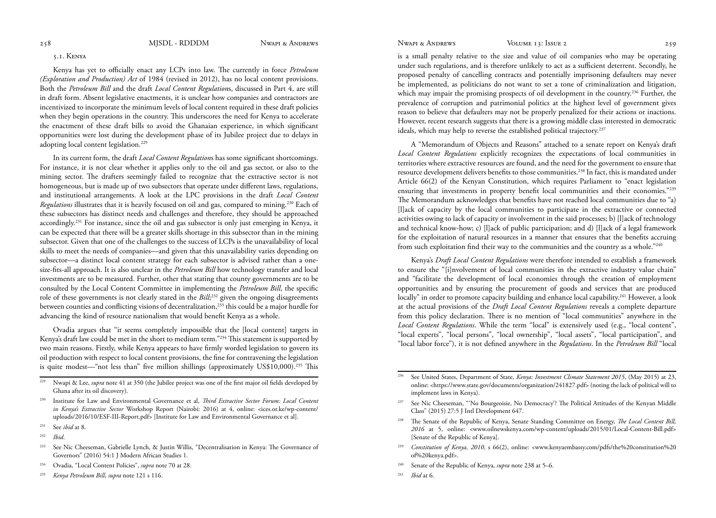# <span id="page-18-0"></span>5.1. Kenya

Kenya has yet to officially enact any LCPs into law. The currently in force *Petroleum (Exploration and Production) Act* of 1984 (revised in 2012), has no local content provisions. Both the *Petroleum Bill* and the draft *Local Content Regulation*s, discussed in Part 4, are still in draft form. Absent legislative enactments, it is unclear how companies and contractors are incentivized to incorporate the minimum levels of local content required in these draft policies when they begin operations in the country. This underscores the need for Kenya to accelerate the enactment of these draft bills to avoid the Ghanaian experience, in which significant opportunities were lost during the development phase of its Jubilee project due to delays in adopting local content legislation.<sup>229</sup>

In its current form, the draft *Local Content Regulation*s has some significant shortcomings. For instance, it is not clear whether it applies only to the oil and gas sector, or also to the mining sector. The drafters seemingly failed to recognize that the extractive sector is not homogeneous, but is made up of two subsectors that operate under different laws, regulations, and institutional arrangements. A look at the LPC provisions in the draft *Local Content Regulations* illustrates that it is heavily focused on oil and gas, compared to mining.230 Each of these subsectors has distinct needs and challenges and therefore, they should be approached accordingly.231 For instance, since the oil and gas subsector is only just emerging in Kenya, it can be expected that there will be a greater skills shortage in this subsector than in the mining subsector. Given that one of the challenges to the success of LCPs is the unavailability of local skills to meet the needs of companies—and given that this unavailability varies depending on subsector—a distinct local content strategy for each subsector is advised rather than a onesize-fits-all approach. It is also unclear in the *Petroleum Bill* how technology transfer and local investments are to be measured. Further, other that stating that county governments are to be consulted by the Local Content Committee in implementing the *Petroleum Bill*, the specific role of these governments is not clearly stated in the *Bill*; 232 given the ongoing disagreements between counties and conflicting visions of decentralization,<sup>233</sup> this could be a major hurdle for advancing the kind of resource nationalism that would benefit Kenya as a whole.

Ovadia argues that "it seems completely impossible that the [local content] targets in Kenya's draft law could be met in the short to medium term."234 This statement is supported by two main reasons. Firstly, while Kenya appears to have firmly worded legislation to govern its oil production with respect to local content provisions, the fine for contravening the legislation is quite modest—"not less than" five million shillings (approximately US\$10,000).<sup>235</sup> This

is a small penalty relative to the size and value of oil companies who may be operating under such regulations, and is therefore unlikely to act as a sufficient deterrent. Secondly, he proposed penalty of cancelling contracts and potentially imprisoning defaulters may never be implemented, as politicians do not want to set a tone of criminalization and litigation, which may impair the promising prospects of oil development in the country.<sup>236</sup> Further, the prevalence of corruption and patrimonial politics at the highest level of government gives reason to believe that defaulters may not be properly penalized for their actions or inactions. However, recent research suggests that there is a growing middle class interested in democratic ideals, which may help to reverse the established political trajectory.<sup>237</sup>

A "Memorandum of Objects and Reasons" attached to a senate report on Kenya's draft *Local Content Regulations* explicitly recognizes the expectations of local communities in territories where extractive resources are found, and the need for the government to ensure that resource development delivers benefits to those communities.238 In fact, this is mandated under Article 66(2) of the Kenyan Constitution, which requires Parliament to "enact legislation ensuring that investments in property benefit local communities and their economies."239 The Memorandum acknowledges that benefits have not reached local communities due to "a) [l]ack of capacity by the local communities to participate in the extractive or connected activities owing to lack of capacity or involvement in the said processes; b) [l]ack of technology and technical know-how; c) [l]ack of public participation; and d) [l]ack of a legal framework for the exploitation of natural resources in a manner that ensures that the benefits accruing from such exploitation find their way to the communities and the country as a whole."240

Kenya's *Draft Local Content Regulations* were therefore intended to establish a framework to ensure the "[i]nvolvement of local communities in the extractive industry value chain" and "facilitate the development of local economies through the creation of employment opportunities and by ensuring the procurement of goods and services that are produced locally" in order to promote capacity building and enhance local capability.<sup>241</sup> However, a look at the actual provisions of the *Draft Local Content Regulations* reveals a complete departure from this policy declaration. There is no mention of "local communities" anywhere in the *Local Content Regulations*. While the term "local" is extensively used (e.g., "local content", "local experts", "local persons", "local ownership", "local assets", "local participation", and "local labor force"), it is not defined anywhere in the *Regulations*. In the *Petroleum Bill* "local

241 *Ibid* at 6.

<sup>&</sup>lt;sup>229</sup> Nwapi & Lee, *supra* note 41 at 350 (the Jubilee project was one of the first major oil fields developed by Ghana after its oil discovery).

<sup>230</sup> Institute for Law and Environmental Governance et al, *Third Extractive Sector Forum: Local Content in Kenya's Extractive Sector* Workshop Report (Nairobi: 2016) at 4, online: <ices.or.ke/wp-content/ uploads/2016/10/ESF-III-Report.pdf> [Institute for Law and Environmental Governance et al].

<sup>231</sup> See *ibid* at 8.

<sup>232</sup>*Ibid*.

<sup>233</sup> See Nic Cheeseman, Gabrielle Lynch, & Justin Willis, "Decentralisation in Kenya: The Governance of Governors" (2016) 54:1 J Modern African Studies 1.

<sup>234</sup> Ovadia, "Local Content Policies", *supra* note 70 at 28.

<sup>235</sup> *Kenya Petroleum Bill*, *supra* note 121 s 116.

<sup>236</sup> See United States, Department of State, *Kenya: Investment Climate Statement 2015*, (May 2015) at 23, online: <https://www.state.gov/documents/organization/241827.pdf> (noting the lack of political will to implement laws in Kenya).

<sup>237</sup> See Nic Cheeseman, "'No Bourgeoisie, No Democracy'? The Political Attitudes of the Kenyan Middle Class" (2015) 27:5 J Intl Development 647.

<sup>238</sup> The Senate of the Republic of Kenya, Senate Standing Committee on Energy, *The Local Content Bill, 2016* at 5, online: <www.oilnewskenya.com/wp-content/uploads/2015/01/Local-Content-Bill.pdf> [Senate of the Republic of Kenya].

<sup>239</sup>*Constitution of Kenya, 2010*, s 66(2), online: <www.kenyaembassy.com/pdfs/the%20constitution%20 of%20kenya.pdf>.

<sup>240</sup> Senate of the Republic of Kenya, *supra* note 238 at 5–6.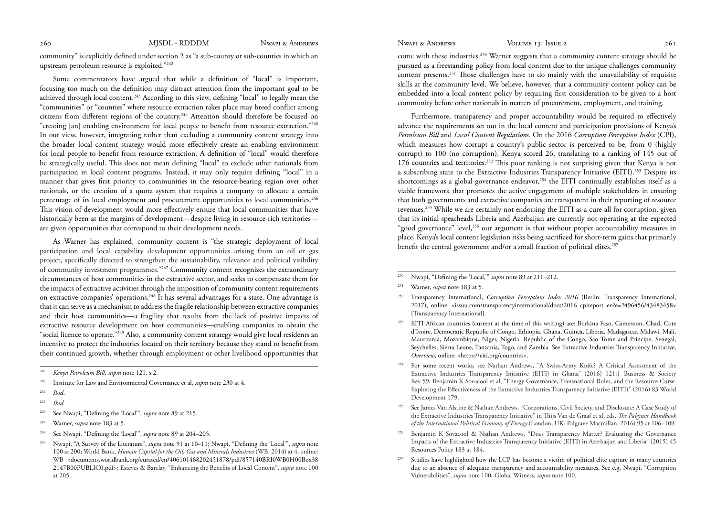community" is explicitly defined under section 2 as "a sub-county or sub-counties in which an upstream petroleum resource is exploited."242

Some commentators have argued that while a definition of "local" is important, focusing too much on the definition may distract attention from the important goal to be achieved through local content.<sup>243</sup> According to this view, defining "local" to legally mean the "communities" or "counties" where resource extraction takes place may breed conflict among citizens from different regions of the country.244 Attention should therefore be focused on "creating [an] enabling environment for local people to benefit from resource extraction."245 In our view, however, integrating rather than excluding a community content strategy into the broader local content strategy would more effectively create an enabling environment for local people to benefit from resource extraction. A definition of "local" would therefore be strategically useful. This does not mean defining "local" to exclude other nationals from participation in local content programs. Instead, it may only require defining "local" in a manner that gives first priority to communities in the resource-bearing region over other nationals, or the creation of a quota system that requires a company to allocate a certain percentage of its local employment and procurement opportunities to local communities.<sup>246</sup> This vision of development would more effectively ensure that local communities that have historically been at the margins of development—despite living in resource-rich territories are given opportunities that correspond to their development needs.

As Warner has explained, community content is "the strategic deployment of local participation and local capability development opportunities arising from an oil or gas project, specifically directed to strengthen the sustainability, relevance and political visibility of community investment programmes."247 Community content recognizes the extraordinary circumstances of host communities in the extractive sector, and seeks to compensate them for the impacts of extractive activities through the imposition of community content requirements on extractive companies' operations.248 It has several advantages for a state. One advantage is that it can serve as a mechanism to address the fragile relationship between extractive companies and their host communities—a fragility that results from the lack of positive impacts of extractive resource development on host communities—enabling companies to obtain the "social licence to operate."<sup>249</sup> Also, a community content strategy would give local residents an incentive to protect the industries located on their territory because they stand to benefit from their continued growth, whether through employment or other livelihood opportunities that

- <sup>244</sup>*Ibid*.
- <sup>245</sup>*Ibid*.
- 246 See Nwapi, "Defining the 'Local'", *supra* note 89 at 215.
- 247 Warner, *supra* note 183 at 5.
- 248 See Nwapi, "Defining the 'Local'", *supra* note 89 at 204–205.
- 249 Nwapi, "A Survey of the Literature", *supra* note 91 at 10–11; Nwapi, "Defining the 'Local'", *supra* note 100 at 200; World Bank, *Human Capital for the Oil, Gas and Minerals Industries* (WB, 2014) at 4, online: WB <documents.worldbank.org/curated/en/406101468202451878/pdf/857140BRI0WB0H00Box38 2147B00PUBLIC0.pdf>; Esteves & Barclay, "Enhancing the Benefits of Local Content", *supra* note 100 at 205.

260 MJSDL - RDDDM Nwapi & Andrews Nwapi & Andrews Volume 13: Issue 2 261

come with these industries.250 Warner suggests that a community content strategy should be pursued as a freestanding policy from local content due to the unique challenges community content presents.251 Those challenges have to do mainly with the unavailability of requisite skills at the community level. We believe, however, that a community content policy can be embedded into a local content policy by requiring first consideration to be given to a host community before other nationals in matters of procurement, employment, and training.

Furthermore, transparency and proper accountability would be required to effectively advance the requirements set out in the local content and participation provisions of Kenya's *Petroleum Bill* and *Local Content Regulations*. On the 2016 *Corruption Perception Index* (CPI), which measures how corrupt a country's public sector is perceived to be, from 0 (highly corrupt) to 100 (no corruption), Kenya scored 26, translating to a ranking of 145 out of 176 countries and territories.252 This poor ranking is not surprising given that Kenya is not a subscribing state to the Extractive Industries Transparency Initiative (EITI).253 Despite its shortcomings as a global governance endeavor,254 the EITI continually establishes itself as a viable framework that promotes the active engagement of multiple stakeholders in ensuring that both governments and extractive companies are transparent in their reporting of resource revenues.255 While we are certainly not endorsing the EITI as a cure-all for corruption, given that its initial spearheads Liberia and Azerbaijan are currently not operating at the expected "good governance" level,256 our argument is that without proper accountability measures in place, Kenya's local content legislation risks being sacrificed for short-term gains that primarily benefit the central government and/or a small fraction of political elites.<sup>257</sup>

250 Nwapi, "Defining the 'Local,'" *supra* note 89 at 211–212.

- 252 Transparency International, *Corruption Perceptions Index 2016* (Berlin: Transparency International, 2017), online: <issuu.com/transparencyinternational/docs/2016\_cpireport\_en?e=2496456/43483458> [Transparency International].
- 253 EITI African countries (current at the time of this writing) are: Burkina Faso, Cameroon, Chad, Cote d'Ivoire, Democratic Republic of Congo, Ethiopia, Ghana, Guinea, Liberia, Madagascar, Malawi, Mali, Mauritania, Mozambique, Niger, Nigeria. Republic of the Congo, Sao Tome and Principe, Senegal, Seychelles, Sierra Leone, Tanzania, Togo, and Zambia. See Extractive Industries Transparency Initiative, *Overview*, online: <https://eiti.org/countries>.
- <sup>254</sup> For some recent works, see Nathan Andrews, "A Swiss-Army Knife? A Critical Assessment of the Extractive Industries Transparency Initiative (EITI) in Ghana" (2016) 121:1 Business & Society Rev 59; Benjamin K Sovacool et al, "Energy Governance, Transnational Rules, and the Resource Curse: Exploring the Effectiveness of the Extractive Industries Transparency Initiative (EITI)" (2016) 83 World Development 179.
- 255 See James Van Alstine & Nathan Andrews, "Corporations, Civil Society, and Disclosure: A Case Study of the Extractive Industries Transparency Initiative" in Thijs Van de Graaf et al, eds, *The Palgrave Handbook of the International Political Economy of Energy* (London, UK: Palgrave Macmillan, 2016) 95 at 106–109.
- 256 Benjamin K Sovacool & Nathan Andrews, "Does Transparency Matter? Evaluating the Governance Impacts of the Extractive Industries Transparency Initiative (EITI) in Azerbaijan and Liberia" (2015) 45 Resources Policy 183 at 184.
- Studies have highlighted how the LCP has become a victim of political elite capture in many countries due to an absence of adequate transparency and accountability measures. See e.g. Nwapi, "Corruption Vulnerabilities", *supra* note 100; Global Witness, *supra* note 100.

<sup>242</sup>*Kenya Petroleum Bill*, *supra* note 121, s 2.

<sup>243</sup> Institute for Law and Environmental Governance et al, *supra* note 230 at 4.

<sup>251</sup> Warner, *supra* note 183 at 5.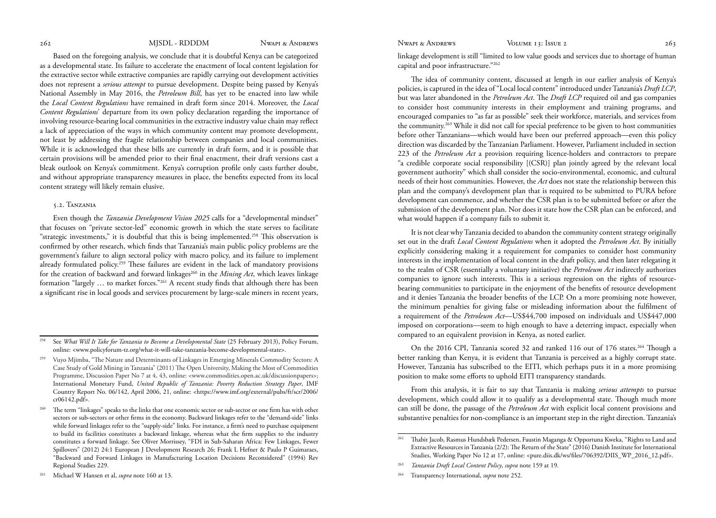<span id="page-20-0"></span>Based on the foregoing analysis, we conclude that it is doubtful Kenya can be categorized as a developmental state. Its failure to accelerate the enactment of local content legislation for the extractive sector while extractive companies are rapidly carrying out development activities does not represent a *serious attempt* to pursue development. Despite being passed by Kenya's National Assembly in May 2016, the *Petroleum Bill*, has yet to be enacted into law while the *Local Content Regulations* have remained in draft form since 2014. Moreover, the *Local Content Regulations*' departure from its own policy declaration regarding the importance of involving resource-bearing local communities in the extractive industry value chain may reflect a lack of appreciation of the ways in which community content may promote development, not least by addressing the fragile relationship between companies and local communities. While it is acknowledged that these bills are currently in draft form, and it is possible that certain provisions will be amended prior to their final enactment, their draft versions cast a bleak outlook on Kenya's commitment. Kenya's corruption profile only casts further doubt, and without appropriate transparency measures in place, the benefits expected from its local content strategy will likely remain elusive.

### 5.2. Tanzania

Even though the *Tanzania Development Vision 2025* calls for a "developmental mindset" that focuses on "private sector-led" economic growth in which the state serves to facilitate "strategic investments," it is doubtful that this is being implemented.<sup>258</sup> This observation is confirmed by other research, which finds that Tanzania's main public policy problems are the government's failure to align sectoral policy with macro policy, and its failure to implement already formulated policy.259 These failures are evident in the lack of mandatory provisions for the creation of backward and forward linkages<sup>260</sup> in the *Mining Act*, which leaves linkage formation "largely … to market forces."261 A recent study finds that although there has been a significant rise in local goods and services procurement by large-scale miners in recent years,

linkage development is still "limited to low value goods and services due to shortage of human capital and poor infrastructure."262

The idea of community content, discussed at length in our earlier analysis of Kenya's policies, is captured in the idea of "Local local content" introduced under Tanzania's *Draft LCP*, but was later abandoned in the *Petroleum Act*. The *Draft LCP* required oil and gas companies to consider host community interests in their employment and training programs, and encouraged companies to "as far as possible" seek their workforce, materials, and services from the community.263 While it did not call for special preference to be given to host communities before other Tanzanians—which would have been our preferred approach—even this policy direction was discarded by the Tanzanian Parliament. However, Parliament included in section 223 of the *Petroleum Act* a provision requiring licence-holders and contractors to prepare "a credible corporate social responsibility [(CSR)] plan jointly agreed by the relevant local government authority" which shall consider the socio-environmental, economic, and cultural needs of their host communities. However, the *Act* does not state the relationship between this plan and the company's development plan that is required to be submitted to PURA before development can commence, and whether the CSR plan is to be submitted before or after the submission of the development plan. Nor does it state how the CSR plan can be enforced, and what would happen if a company fails to submit it.

It is not clear why Tanzania decided to abandon the community content strategy originally set out in the draft *Local Content Regulations* when it adopted the *Petroleum Act*. By initially explicitly considering making it a requirement for companies to consider host community interests in the implementation of local content in the draft policy, and then later relegating it to the realm of CSR (essentially a voluntary initiative) the *Petroleum Act* indirectly authorizes companies to ignore such interests. This is a serious regression on the rights of resourcebearing communities to participate in the enjoyment of the benefits of resource development and it denies Tanzania the broader benefits of the LCP. On a more promising note however, the minimum penalties for giving false or misleading information about the fulfilment of a requirement of the *Petroleum Act*—US\$44,700 imposed on individuals and US\$447,000 imposed on corporations—seem to high enough to have a deterring impact, especially when compared to an equivalent provision in Kenya, as noted earlier.

On the 2016 CPI, Tanzania scored 32 and ranked 116 out of 176 states.<sup>264</sup> Though a better ranking than Kenya, it is evident that Tanzania is perceived as a highly corrupt state. However, Tanzania has subscribed to the EITI, which perhaps puts it in a more promising position to make some efforts to uphold EITI transparency standards.

From this analysis, it is fair to say that Tanzania is making *serious attempts* to pursue development, which could allow it to qualify as a developmental state. Though much more can still be done, the passage of the *Petroleum Act* with explicit local content provisions and substantive penalties for non-compliance is an important step in the right direction. Tanzania's

See *What Will It Take for Tanzania to Become a Developmental State* (25 February 2013), Policy Forum, online: <www.policyforum-tz.org/what-it-will-take-tanzania-become-developmental-state>.

<sup>259</sup> Vuyo Mjimba, "The Nature and Determinants of Linkages in Emerging Minerals Commodity Sectors: A Case Study of Gold Mining in Tanzania" (2011) The Open University, Making the Most of Commodities Programme, Discussion Paper No 7 at 4, 43, online: <www.commodities.open.ac.uk/discussionpapers>; International Monetary Fund, *United Republic of Tanzania: Poverty Reduction Strategy Paper*, IMF Country Report No. 06/142, April 2006, 21, online: <https://www.imf.org/external/pubs/ft/scr/2006/ cr06142.pdf>.

The term "linkages" speaks to the links that one economic sector or sub-sector or one firm has with other sectors or sub-sectors or other firms in the economy. Backward linkages refer to the "demand-side" links while forward linkages refer to the "supply-side" links. For instance, a firm's need to purchase equipment to build its facilities constitutes a backward linkage, whereas what the firm supplies to the industry constitutes a forward linkage. See Oliver Morrissey, "FDI in Sub-Saharan Africa: Few Linkages, Fewer Spillovers" (2012) 24:1 European J Development Research 26; Frank L Hefner & Paulo P Guimaraes, "Backward and Forward Linkages in Manufacturing Location Decisions Reconsidered" (1994) Rev Regional Studies 229.

<sup>261</sup> Michael W Hansen et al, *supra* note 160 at 13.

<sup>262</sup> Thabit Jacob, Rasmus Hundsbæk Pedersen, Faustin Maganga & Opportuna Kweka, "Rights to Land and Extractive Resources in Tanzania (2/2): The Return of the State" (2016) Danish Institute for International Studies, Working Paper No 12 at 17, online: <pure.diis.dk/ws/files/706392/DIIS\_WP\_2016\_12.pdf>.

<sup>263</sup>*Tanzania Draft Local Content Policy*, *supra* note 159 at 19.

<sup>264</sup> Transparency International, *supra* note 252.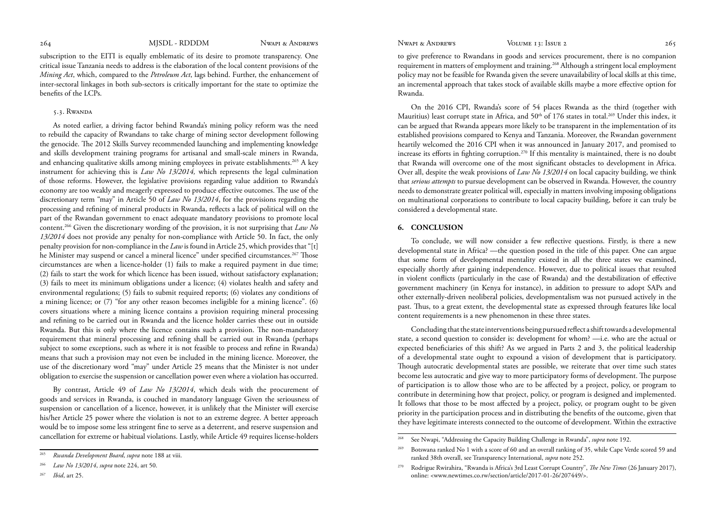<span id="page-21-0"></span>

subscription to the EITI is equally emblematic of its desire to promote transparency. One critical issue Tanzania needs to address is the elaboration of the local content provisions of the *Mining Act*, which, compared to the *Petroleum Act*, lags behind. Further, the enhancement of inter-sectoral linkages in both sub-sectors is critically important for the state to optimize the benefits of the LCPs.

# 5.3. Rwanda

As noted earlier, a driving factor behind Rwanda's mining policy reform was the need to rebuild the capacity of Rwandans to take charge of mining sector development following the genocide. The 2012 Skills Survey recommended launching and implementing knowledge and skills development training programs for artisanal and small-scale miners in Rwanda, and enhancing qualitative skills among mining employees in private establishments.<sup>265</sup> A key instrument for achieving this is *Law No 13/2014,* which represents the legal culmination of those reforms. However, the legislative provisions regarding value addition to Rwanda's economy are too weakly and meagerly expressed to produce effective outcomes. The use of the discretionary term "may" in Article 50 of *Law No 13/2014*, for the provisions regarding the processing and refining of mineral products in Rwanda, reflects a lack of political will on the part of the Rwandan government to enact adequate mandatory provisions to promote local content.266 Given the discretionary wording of the provision, it is not surprising that *Law No 13/2014* does not provide any penalty for non-compliance with Article 50. In fact, the only penalty provision for non-compliance in the *Law* is found in Article 25, which provides that "[t] he Minister may suspend or cancel a mineral licence" under specified circumstances.<sup>267</sup> Those circumstances are when a licence-holder (1) fails to make a required payment in due time; (2) fails to start the work for which licence has been issued, without satisfactory explanation; (3) fails to meet its minimum obligations under a licence; (4) violates health and safety and environmental regulations; (5) fails to submit required reports; (6) violates any conditions of a mining licence; or (7) "for any other reason becomes ineligible for a mining licence". (6) covers situations where a mining licence contains a provision requiring mineral processing and refining to be carried out in Rwanda and the licence holder carries these out in outside Rwanda. But this is only where the licence contains such a provision. The non-mandatory requirement that mineral processing and refining shall be carried out in Rwanda (perhaps subject to some exceptions, such as where it is not feasible to process and refine in Rwanda) means that such a provision may not even be included in the mining licence. Moreover, the use of the discretionary word "may" under Article 25 means that the Minister is not under obligation to exercise the suspension or cancellation power even where a violation has occurred.

By contrast, Article 49 of *Law No 13/2014*, which deals with the procurement of goods and services in Rwanda, is couched in mandatory language Given the seriousness of suspension or cancellation of a licence, however, it is unlikely that the Minister will exercise his/her Article 25 power where the violation is not to an extreme degree. A better approach would be to impose some less stringent fine to serve as a deterrent, and reserve suspension and cancellation for extreme or habitual violations. Lastly, while Article 49 requires license-holders

to give preference to Rwandans in goods and services procurement, there is no companion requirement in matters of employment and training.268 Although a stringent local employment policy may not be feasible for Rwanda given the severe unavailability of local skills at this time, an incremental approach that takes stock of available skills maybe a more effective option for Rwanda.

On the 2016 CPI, Rwanda's score of 54 places Rwanda as the third (together with Mauritius) least corrupt state in Africa, and  $50<sup>th</sup>$  of 176 states in total.<sup>269</sup> Under this index, it can be argued that Rwanda appears more likely to be transparent in the implementation of its established provisions compared to Kenya and Tanzania. Moreover, the Rwandan government heartily welcomed the 2016 CPI when it was announced in January 2017, and promised to increase its efforts in fighting corruption.270 If this mentality is maintained, there is no doubt that Rwanda will overcome one of the most significant obstacles to development in Africa. Over all, despite the weak provisions of *Law No 13/2014* on local capacity building, we think that *serious attempts* to pursue development can be observed in Rwanda. However, the country needs to demonstrate greater political will, especially in matters involving imposing obligations on multinational corporations to contribute to local capacity building, before it can truly be considered a developmental state.

### **6. CONCLUSION**

To conclude, we will now consider a few reflective questions. Firstly, is there a new developmental state in Africa? —the question posed in the title of this paper. One can argue that some form of developmental mentality existed in all the three states we examined, especially shortly after gaining independence. However, due to political issues that resulted in violent conflicts (particularly in the case of Rwanda) and the destabilization of effective government machinery (in Kenya for instance), in addition to pressure to adopt SAPs and other externally-driven neoliberal policies, developmentalism was not pursued actively in the past. Thus, to a great extent, the developmental state as expressed through features like local content requirements is a new phenomenon in these three states.

Concluding that the state interventions being pursued reflect a shift towards a developmental state, a second question to consider is: development for whom? —i.e. who are the actual or expected beneficiaries of this shift? As we argued in Parts 2 and 3, the political leadership of a developmental state ought to expound a vision of development that is participatory. Though autocratic developmental states are possible, we reiterate that over time such states become less autocratic and give way to more participatory forms of development. The purpose of participation is to allow those who are to be affected by a project, policy, or program to contribute in determining how that project, policy, or program is designed and implemented. It follows that those to be most affected by a project, policy, or program ought to be given priority in the participation process and in distributing the benefits of the outcome, given that they have legitimate interests connected to the outcome of development. Within the extractive

<sup>265</sup>*Rwanda Development Board*, *supra* note 188 at viii.

<sup>266</sup>*Law No 13/2014*, *supra* note 224, art 50.

<sup>267</sup>*Ibid*, art 25.

See Nwapi, "Addressing the Capacity Building Challenge in Rwanda", *supra* note 192.

Botswana ranked No 1 with a score of 60 and an overall ranking of 35, while Cape Verde scored 59 and ranked 38th overall, see Transparency International, *supra* note 252.

<sup>270</sup> Rodrigue Rwirahira, "Rwanda is Africa's 3rd Least Corrupt Country", *The New Times* (26 January 2017), online: <www.newtimes.co.rw/section/article/2017-01-26/207449/>.